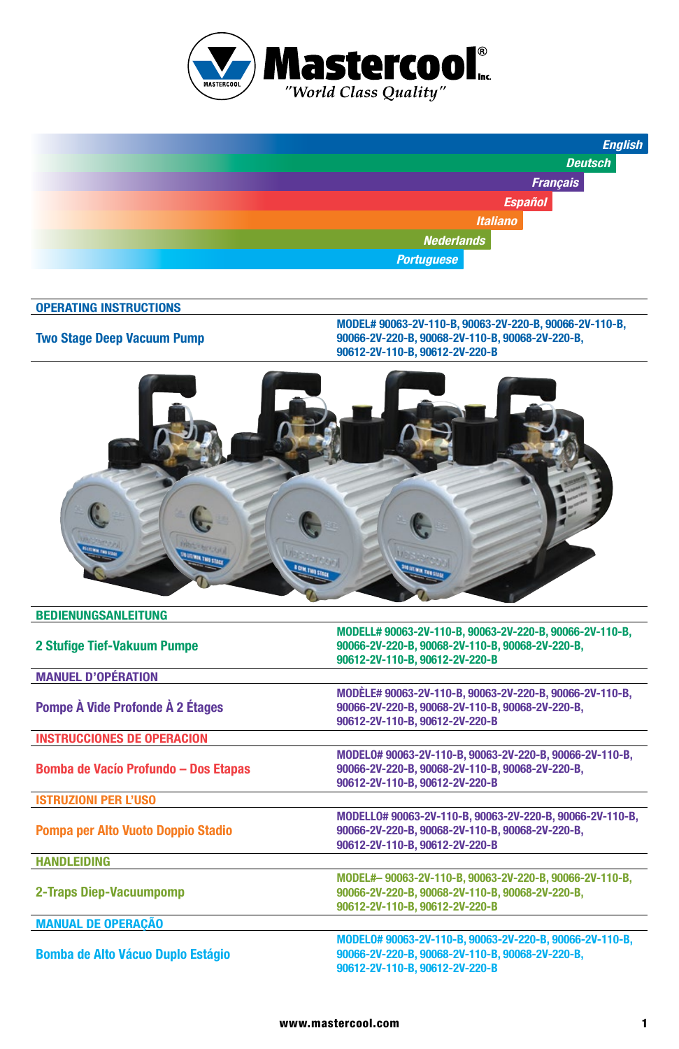



#### **OPERATING INSTRUCTIONS**

#### **Two Stage Deep Vacuum Pump**

**MODEL# 90063-2V-110-B, 90063-2V-220-B, 90066-2V-110-B, 90066-2V-220-B, 90068-2V-110-B, 90068-2V-220-B, 90612-2V-110-B, 90612-2V-220-B**



| 2 Stufige Tief-Vakuum Pumpe                 | MODELL# 90063-2V-110-B, 90063-2V-220-B, 90066-2V-110-B,<br>90066-2V-220-B. 90068-2V-110-B. 90068-2V-220-B.<br>90612-2V-110-B, 90612-2V-220-B  |
|---------------------------------------------|-----------------------------------------------------------------------------------------------------------------------------------------------|
| <b>MANUEL D'OPÉRATION</b>                   |                                                                                                                                               |
| Pompe À Vide Profonde À 2 Étages            | MODÈLE# 90063-2V-110-B, 90063-2V-220-B, 90066-2V-110-B,<br>90066-2V-220-B, 90068-2V-110-B, 90068-2V-220-B,<br>90612-2V-110-B, 90612-2V-220-B  |
| <b>INSTRUCCIONES DE OPERACION</b>           |                                                                                                                                               |
| <b>Bomba de Vacío Profundo - Dos Etapas</b> | MODEL0# 90063-2V-110-B. 90063-2V-220-B. 90066-2V-110-B.<br>90066-2V-220-B, 90068-2V-110-B, 90068-2V-220-B,<br>90612-2V-110-B, 90612-2V-220-B  |
| <b>ISTRUZIONI PER L'USO</b>                 |                                                                                                                                               |
| Pompa per Alto Vuoto Doppio Stadio          | MODELL0# 90063-2V-110-B, 90063-2V-220-B, 90066-2V-110-B,<br>90066-2V-220-B. 90068-2V-110-B. 90068-2V-220-B.<br>90612-2V-110-B. 90612-2V-220-B |
| <b>HANDLEIDING</b>                          |                                                                                                                                               |
| 2-Traps Diep-Vacuumpomp                     | MODEL#-90063-2V-110-B, 90063-2V-220-B, 90066-2V-110-B,<br>90066-2V-220-B. 90068-2V-110-B. 90068-2V-220-B.<br>90612-2V-110-B, 90612-2V-220-B   |
| <b>MANUAL DE OPERAÇÃO</b>                   |                                                                                                                                               |
| <b>Bomba de Alto Vácuo Duplo Estágio</b>    | MODEL0# 90063-2V-110-B, 90063-2V-220-B, 90066-2V-110-B,<br>90066-2V-220-B, 90068-2V-110-B, 90068-2V-220-B,<br>90612-2V-110-B, 90612-2V-220-B  |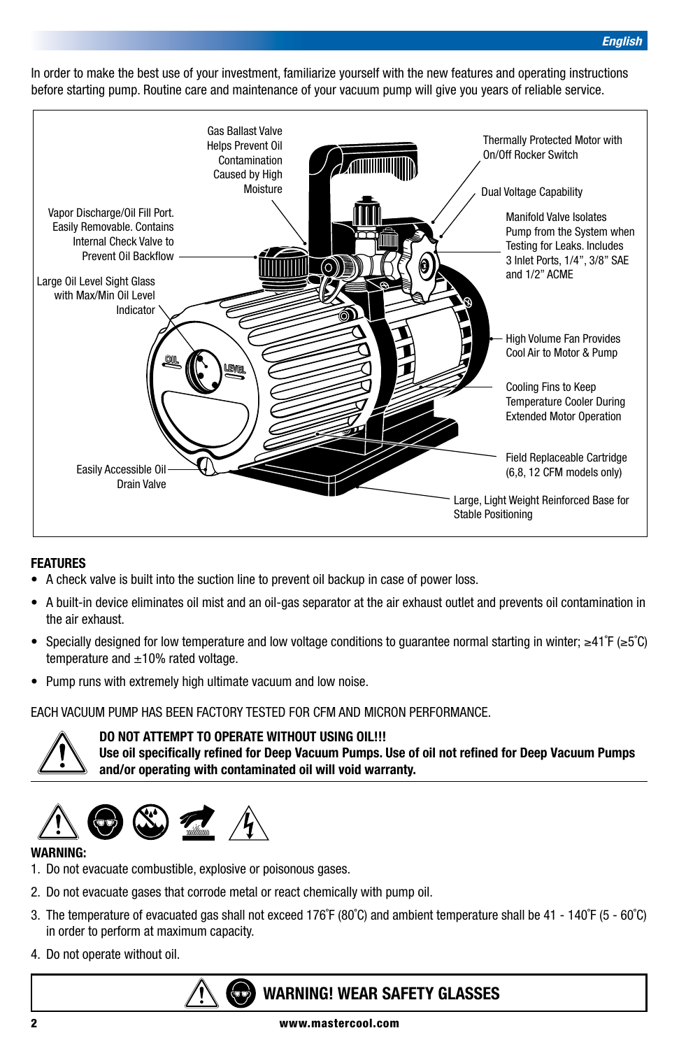In order to make the best use of your investment, familiarize yourself with the new features and operating instructions before starting pump. Routine care and maintenance of your vacuum pump will give you years of reliable service.



#### **FEATURES**

- A check valve is built into the suction line to prevent oil backup in case of power loss.
- A built-in device eliminates oil mist and an oil-gas separator at the air exhaust outlet and prevents oil contamination in the air exhaust.
- Specially designed for low temperature and low voltage conditions to guarantee normal starting in winter; ≥41˚F (≥5˚C) temperature and  $\pm 10\%$  rated voltage.
- Pump runs with extremely high ultimate vacuum and low noise.

EACH VACUUM PUMP HAS BEEN FACTORY TESTED FOR CFM AND MICRON PERFORMANCE.



**DO NOT ATTEMPT TO OPERATE WITHOUT USING OIL!!!**

**Use oil specifically refined for Deep Vacuum Pumps. Use of oil not refined for Deep Vacuum Pumps and/or operating with contaminated oil will void warranty.**

# $\mathbb{Z}$   $\mathbb{Z}$

#### **WARNING:**

- 1. Do not evacuate combustible, explosive or poisonous gases.
- 2. Do not evacuate gases that corrode metal or react chemically with pump oil.
- 3. The temperature of evacuated gas shall not exceed 176˚F (80˚C) and ambient temperature shall be 41 140˚F (5 60˚C) in order to perform at maximum capacity.
- 4. Do not operate without oil.

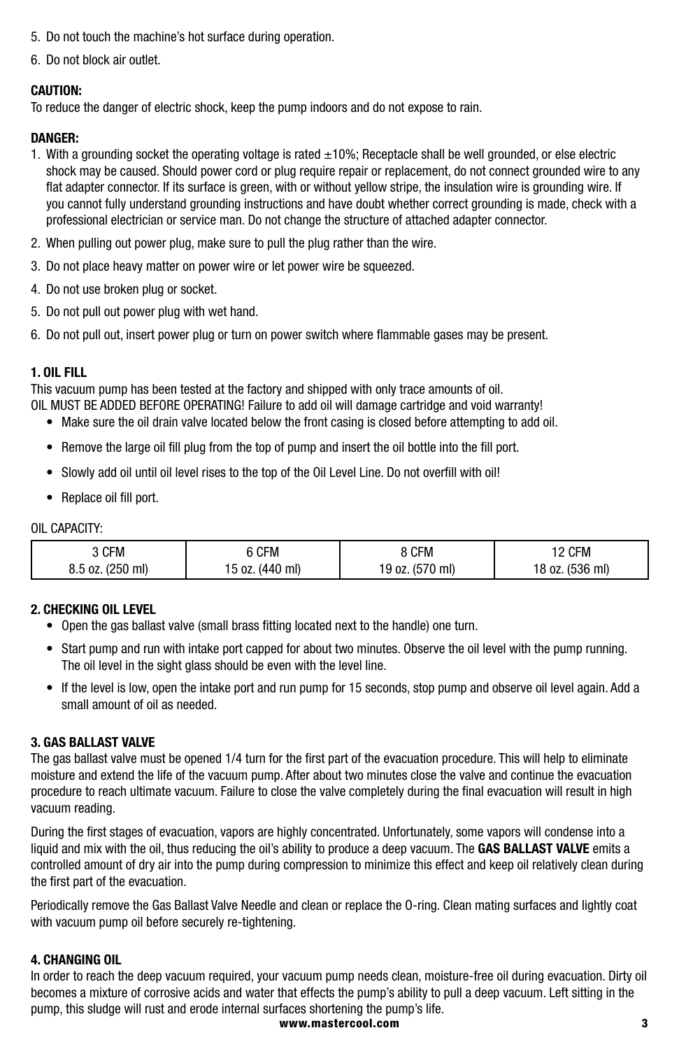- 5. Do not touch the machine's hot surface during operation.
- 6. Do not block air outlet.

#### **CAUTION:**

To reduce the danger of electric shock, keep the pump indoors and do not expose to rain.

#### **DANGER:**

- 1. With a grounding socket the operating voltage is rated  $\pm 10\%$ ; Receptacle shall be well grounded, or else electric shock may be caused. Should power cord or plug require repair or replacement, do not connect grounded wire to any flat adapter connector. If its surface is green, with or without yellow stripe, the insulation wire is grounding wire. If you cannot fully understand grounding instructions and have doubt whether correct grounding is made, check with a professional electrician or service man. Do not change the structure of attached adapter connector.
- 2. When pulling out power plug, make sure to pull the plug rather than the wire.
- 3. Do not place heavy matter on power wire or let power wire be squeezed.
- 4. Do not use broken plug or socket.
- 5. Do not pull out power plug with wet hand.
- 6. Do not pull out, insert power plug or turn on power switch where flammable gases may be present.

#### **1. OIL FILL**

This vacuum pump has been tested at the factory and shipped with only trace amounts of oil.

OIL MUST BE ADDED BEFORE OPERATING! Failure to add oil will damage cartridge and void warranty!

- Make sure the oil drain valve located below the front casing is closed before attempting to add oil.
- Remove the large oil fill plug from the top of pump and insert the oil bottle into the fill port.
- Slowly add oil until oil level rises to the top of the Oil Level Line. Do not overfill with oil!
- Replace oil fill port.

#### OIL CAPACITY:

| 3 CFM            | 6 CFM           | 8 CFM           | 12 CFM          |
|------------------|-----------------|-----------------|-----------------|
| 8.5 oz. (250 ml) | 15 oz. (440 ml) | 19 oz. (570 ml) | 18 oz. (536 ml) |

#### **2. CHECKING OIL LEVEL**

- Open the gas ballast valve (small brass fitting located next to the handle) one turn.
- Start pump and run with intake port capped for about two minutes. Observe the oil level with the pump running. The oil level in the sight glass should be even with the level line.
- If the level is low, open the intake port and run pump for 15 seconds, stop pump and observe oil level again. Add a small amount of oil as needed.

#### **3. GAS BALLAST VALVE**

The gas ballast valve must be opened 1/4 turn for the first part of the evacuation procedure. This will help to eliminate moisture and extend the life of the vacuum pump. After about two minutes close the valve and continue the evacuation procedure to reach ultimate vacuum. Failure to close the valve completely during the final evacuation will result in high vacuum reading.

During the first stages of evacuation, vapors are highly concentrated. Unfortunately, some vapors will condense into a liquid and mix with the oil, thus reducing the oil's ability to produce a deep vacuum. The **GAS BALLAST VALVE** emits a controlled amount of dry air into the pump during compression to minimize this effect and keep oil relatively clean during the first part of the evacuation.

Periodically remove the Gas Ballast Valve Needle and clean or replace the O-ring. Clean mating surfaces and lightly coat with vacuum pump oil before securely re-tightening.

#### **4. CHANGING OIL**

In order to reach the deep vacuum required, your vacuum pump needs clean, moisture-free oil during evacuation. Dirty oil becomes a mixture of corrosive acids and water that effects the pump's ability to pull a deep vacuum. Left sitting in the pump, this sludge will rust and erode internal surfaces shortening the pump's life.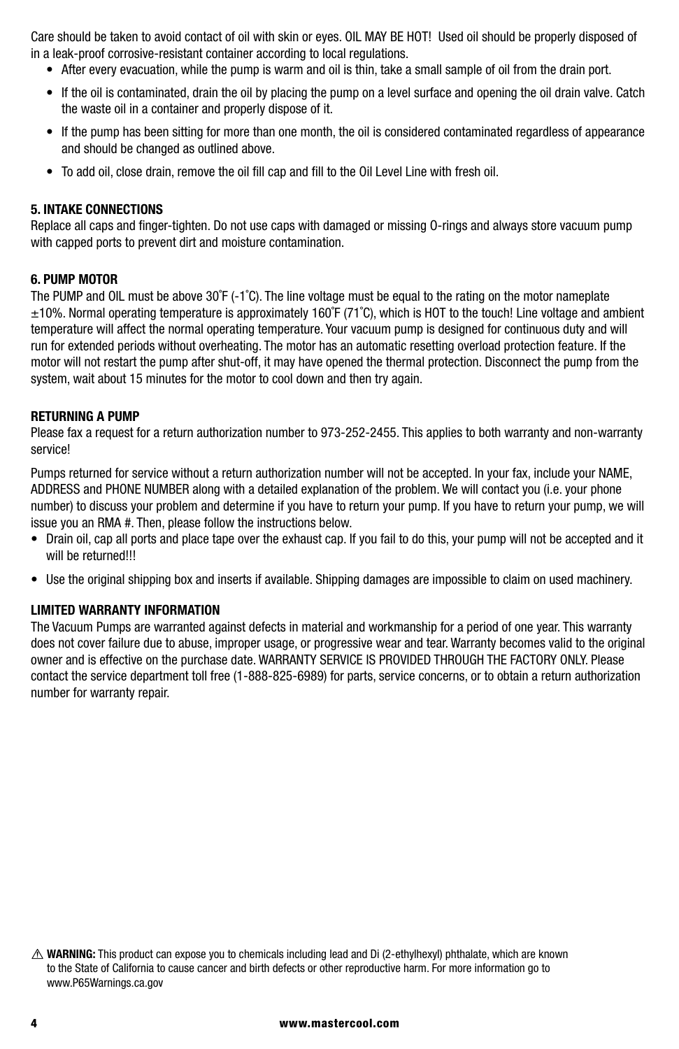Care should be taken to avoid contact of oil with skin or eyes. OIL MAY BE HOT! Used oil should be properly disposed of in a leak-proof corrosive-resistant container according to local regulations.

- After every evacuation, while the pump is warm and oil is thin, take a small sample of oil from the drain port.
- If the oil is contaminated, drain the oil by placing the pump on a level surface and opening the oil drain valve. Catch the waste oil in a container and properly dispose of it.
- If the pump has been sitting for more than one month, the oil is considered contaminated regardless of appearance and should be changed as outlined above.
- To add oil, close drain, remove the oil fill cap and fill to the Oil Level Line with fresh oil.

#### **5. INTAKE CONNECTIONS**

Replace all caps and finger-tighten. Do not use caps with damaged or missing O-rings and always store vacuum pump with capped ports to prevent dirt and moisture contamination.

#### **6. PUMP MOTOR**

The PUMP and OIL must be above 30˚F (-1˚C). The line voltage must be equal to the rating on the motor nameplate  $\pm 10$ %. Normal operating temperature is approximately 160°F (71°C), which is HOT to the touch! Line voltage and ambient temperature will affect the normal operating temperature. Your vacuum pump is designed for continuous duty and will run for extended periods without overheating. The motor has an automatic resetting overload protection feature. If the motor will not restart the pump after shut-off, it may have opened the thermal protection. Disconnect the pump from the system, wait about 15 minutes for the motor to cool down and then try again.

#### **RETURNING A PUMP**

Please fax a request for a return authorization number to 973-252-2455. This applies to both warranty and non-warranty service!

Pumps returned for service without a return authorization number will not be accepted. In your fax, include your NAME, ADDRESS and PHONE NUMBER along with a detailed explanation of the problem. We will contact you (i.e. your phone number) to discuss your problem and determine if you have to return your pump. If you have to return your pump, we will issue you an RMA #. Then, please follow the instructions below.

- Drain oil, cap all ports and place tape over the exhaust cap. If you fail to do this, your pump will not be accepted and it will be returned!!!
- Use the original shipping box and inserts if available. Shipping damages are impossible to claim on used machinery.

#### **LIMITED WARRANTY INFORMATION**

The Vacuum Pumps are warranted against defects in material and workmanship for a period of one year. This warranty does not cover failure due to abuse, improper usage, or progressive wear and tear. Warranty becomes valid to the original owner and is effective on the purchase date. WARRANTY SERVICE IS PROVIDED THROUGH THE FACTORY ONLY. Please contact the service department toll free (1-888-825-6989) for parts, service concerns, or to obtain a return authorization number for warranty repair.

**WARNING:** This product can expose you to chemicals including lead and Di (2-ethylhexyl) phthalate, which are known to the State of California to cause cancer and birth defects or other reproductive harm. For more information go to www.P65Warnings.ca.gov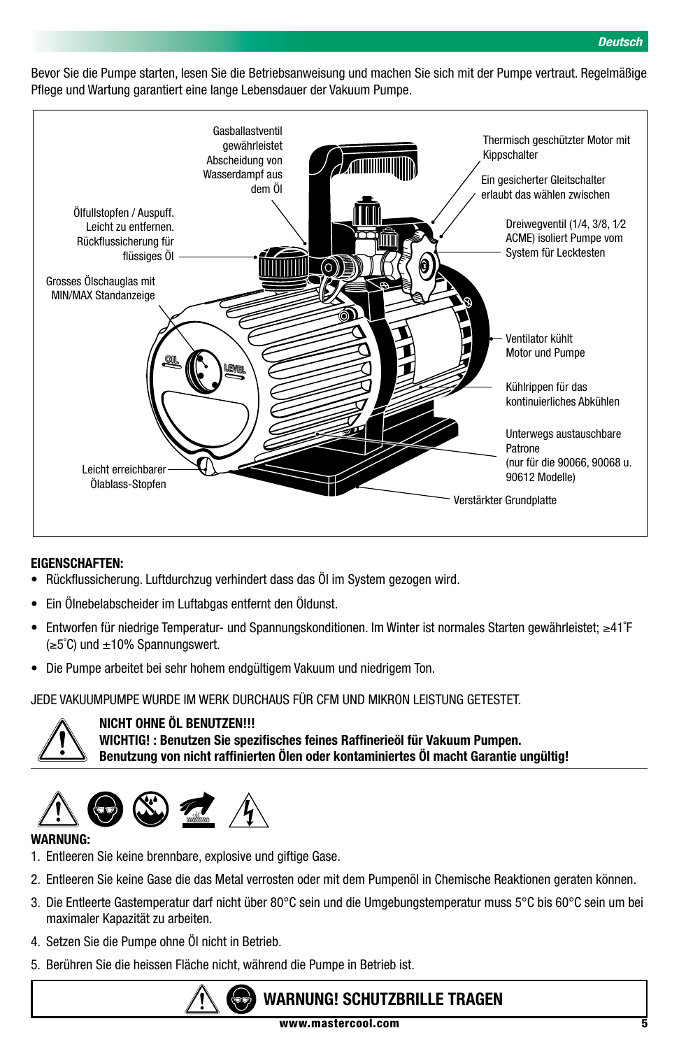Bevor Sie die Pumpe starten, lesen Sie die Betriebsanweisung und machen Sie sich mit der Pumpe vertraut. Regelmäßige Pflege und Wartung garantiert eine lange Lebensdauer der Vakuum Pumpe.



#### **EIGENSCHAFTEN:**

- Rückflussicherung. Luftdurchzug verhindert dass das Öl im System gezogen wird.
- Ein Ölnebelabscheider im Luftabgas entfernt den Öldunst.
- Entworfen für niedrige Temperatur- und Spannungskonditionen. Im Winter ist normales Starten gewährleistet; ≥41˚F  $(\geq 5^{\circ}C)$  und  $\pm 10\%$  Spannungswert.
- Die Pumpe arbeitet bei sehr hohem endgültigem Vakuum und niedrigem Ton.

JEDE VAKUUMPUMPE WURDE IM WERK DURCHAUS FÜR CFM UND MIKRON LEISTUNG GETESTET.



**NICHT OHNE ÖL BENUTZEN!!! WICHTIG! : Benutzen Sie spezifisches feines Raffinerieöl für Vakuum Pumpen. Benutzung von nicht raffinierten Ölen oder kontaminiertes Öl macht Garantie ungültig!**



#### **WARNUNG:**

- 1. Entleeren Sie keine brennbare, explosive und giftige Gase.
- 2. Entleeren Sie keine Gase die das Metal verrosten oder mit dem Pumpenöl in Chemische Reaktionen geraten können.
- 3. Die Entleerte Gastemperatur darf nicht über 80°C sein und die Umgebungstemperatur muss 5°C bis 60°C sein um bei maximaler Kapazität zu arbeiten.
- 4. Setzen Sie die Pumpe ohne Öl nicht in Betrieb.
- 5. Berühren Sie die heissen Fläche nicht, während die Pumpe in Betrieb ist.



# **WARNUNG! SCHUTZBRILLE TRAGEN**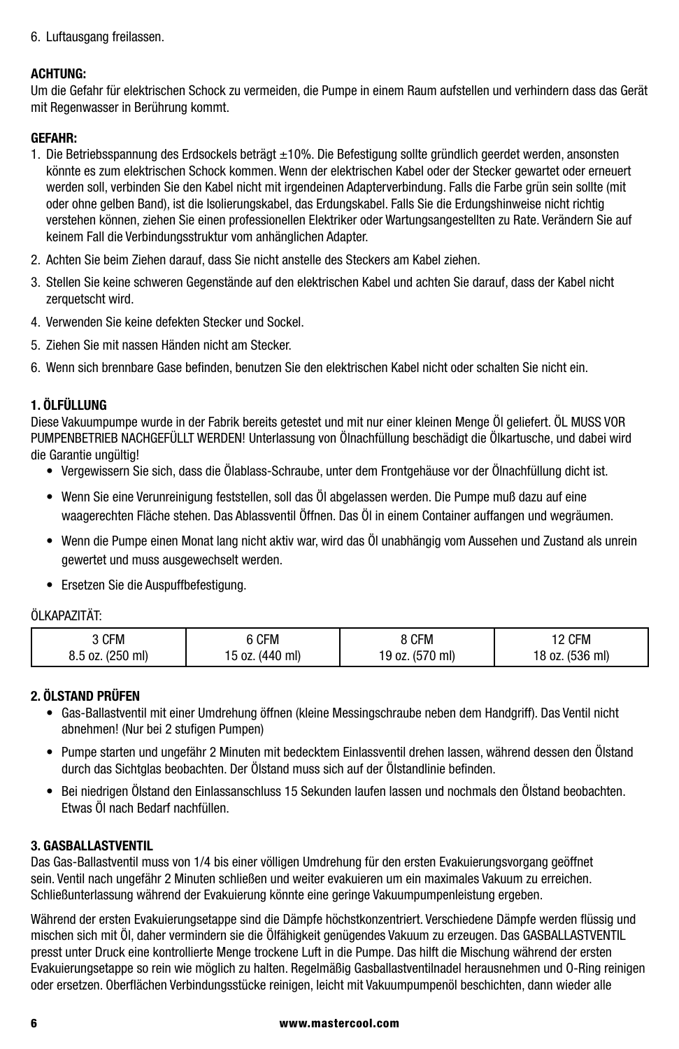6. Luftausgang freilassen.

#### **ACHTUNG:**

Um die Gefahr für elektrischen Schock zu vermeiden, die Pumpe in einem Raum aufstellen und verhindern dass das Gerät mit Regenwasser in Berührung kommt.

#### **GEFAHR:**

- 1. Die Betriebsspannung des Erdsockels beträgt ±10%. Die Befestigung sollte gründlich geerdet werden, ansonsten könnte es zum elektrischen Schock kommen. Wenn der elektrischen Kabel oder der Stecker gewartet oder erneuert werden soll, verbinden Sie den Kabel nicht mit irgendeinen Adapterverbindung. Falls die Farbe grün sein sollte (mit oder ohne gelben Band), ist die Isolierungskabel, das Erdungskabel. Falls Sie die Erdungshinweise nicht richtig verstehen können, ziehen Sie einen professionellen Elektriker oder Wartungsangestellten zu Rate. Verändern Sie auf keinem Fall die Verbindungsstruktur vom anhänglichen Adapter.
- 2. Achten Sie beim Ziehen darauf, dass Sie nicht anstelle des Steckers am Kabel ziehen.
- 3. Stellen Sie keine schweren Gegenstände auf den elektrischen Kabel und achten Sie darauf, dass der Kabel nicht zerquetscht wird.
- 4. Verwenden Sie keine defekten Stecker und Sockel.
- 5. Ziehen Sie mit nassen Händen nicht am Stecker.
- 6. Wenn sich brennbare Gase befinden, benutzen Sie den elektrischen Kabel nicht oder schalten Sie nicht ein.

#### **1. ÖLFÜLLUNG**

Diese Vakuumpumpe wurde in der Fabrik bereits getestet und mit nur einer kleinen Menge Öl geliefert. ÖL MUSS VOR PUMPENBETRIEB NACHGEFÜLLT WERDEN! Unterlassung von Ölnachfüllung beschädigt die Ölkartusche, und dabei wird die Garantie ungültig!

- Vergewissern Sie sich, dass die Ölablass-Schraube, unter dem Frontgehäuse vor der Ölnachfüllung dicht ist.
- Wenn Sie eine Verunreinigung feststellen, soll das Öl abgelassen werden. Die Pumpe muß dazu auf eine waagerechten Fläche stehen. Das Ablassventil Öffnen. Das Öl in einem Container auffangen und wegräumen.
- Wenn die Pumpe einen Monat lang nicht aktiv war, wird das Öl unabhängig vom Aussehen und Zustand als unrein gewertet und muss ausgewechselt werden.
- Ersetzen Sie die Auspuffbefestigung.

#### ÖLKAPAZITÄT:

| CFM              | 6 CFM           | <b>CFM</b>      | 12 CFM          |
|------------------|-----------------|-----------------|-----------------|
| 8.5 oz. (250 ml) | 15 oz. (440 ml) | 19 oz. (570 ml) | 18 oz. (536 ml) |

#### **2. ÖLSTAND PRÜFEN**

- Gas-Ballastventil mit einer Umdrehung öffnen (kleine Messingschraube neben dem Handgriff). Das Ventil nicht abnehmen! (Nur bei 2 stufigen Pumpen)
- Pumpe starten und ungefähr 2 Minuten mit bedecktem Einlassventil drehen lassen, während dessen den Ölstand durch das Sichtglas beobachten. Der Ölstand muss sich auf der Ölstandlinie befinden.
- Bei niedrigen Ölstand den Einlassanschluss 15 Sekunden laufen lassen und nochmals den Ölstand beobachten. Etwas Öl nach Bedarf nachfüllen.

#### **3. GASBALLASTVENTIL**

Das Gas-Ballastventil muss von 1/4 bis einer völligen Umdrehung für den ersten Evakuierungsvorgang geöffnet sein. Ventil nach ungefähr 2 Minuten schließen und weiter evakuieren um ein maximales Vakuum zu erreichen. Schließunterlassung während der Evakuierung könnte eine geringe Vakuumpumpenleistung ergeben.

Während der ersten Evakuierungsetappe sind die Dämpfe höchstkonzentriert. Verschiedene Dämpfe werden flüssig und mischen sich mit Öl, daher vermindern sie die Ölfähigkeit genügendes Vakuum zu erzeugen. Das GASBALLASTVENTIL presst unter Druck eine kontrollierte Menge trockene Luft in die Pumpe. Das hilft die Mischung während der ersten Evakuierungsetappe so rein wie möglich zu halten. Regelmäßig Gasballastventilnadel herausnehmen und O-Ring reinigen oder ersetzen. Oberflächen Verbindungsstücke reinigen, leicht mit Vakuumpumpenöl beschichten, dann wieder alle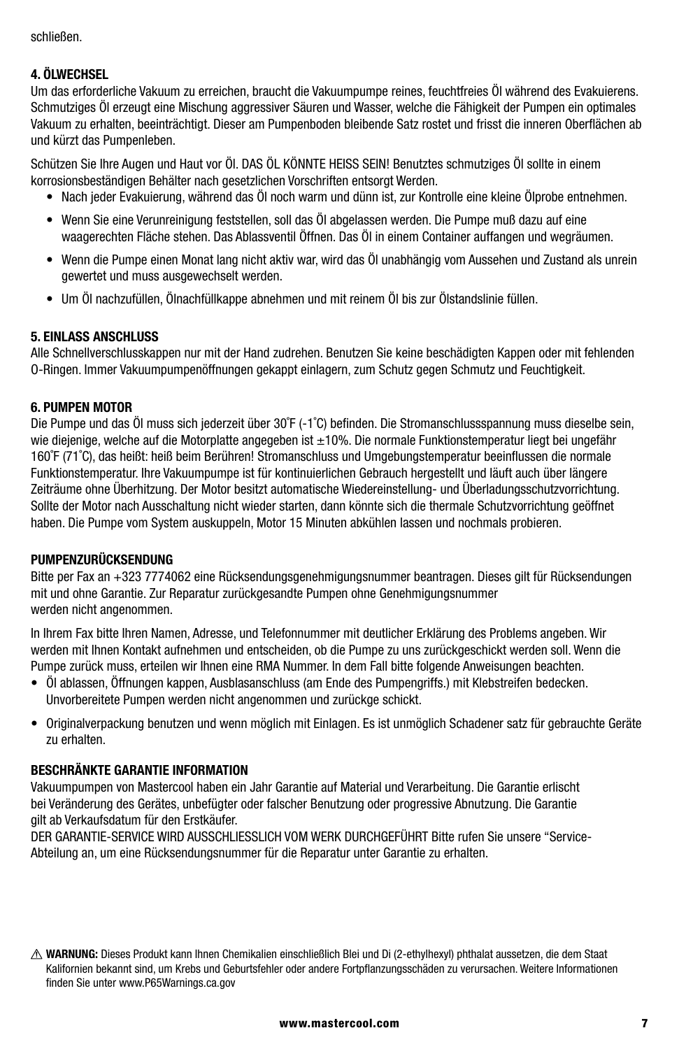schließen.

#### **4. ÖLWECHSEL**

Um das erforderliche Vakuum zu erreichen, braucht die Vakuumpumpe reines, feuchtfreies Öl während des Evakuierens. Schmutziges Öl erzeugt eine Mischung aggressiver Säuren und Wasser, welche die Fähigkeit der Pumpen ein optimales Vakuum zu erhalten, beeinträchtigt. Dieser am Pumpenboden bleibende Satz rostet und frisst die inneren Oberflächen ab und kürzt das Pumpenleben.

Schützen Sie Ihre Augen und Haut vor Öl. DAS ÖL KÖNNTE HEISS SEIN! Benutztes schmutziges Öl sollte in einem korrosionsbeständigen Behälter nach gesetzlichen Vorschriften entsorgt Werden.

- Nach jeder Evakuierung, während das Öl noch warm und dünn ist, zur Kontrolle eine kleine Ölprobe entnehmen.
- Wenn Sie eine Verunreinigung feststellen, soll das Öl abgelassen werden. Die Pumpe muß dazu auf eine waagerechten Fläche stehen. Das Ablassventil Öffnen. Das Öl in einem Container auffangen und wegräumen.
- Wenn die Pumpe einen Monat lang nicht aktiv war, wird das Öl unabhängig vom Aussehen und Zustand als unrein gewertet und muss ausgewechselt werden.
- Um Öl nachzufüllen, Ölnachfüllkappe abnehmen und mit reinem Öl bis zur Ölstandslinie füllen.

#### **5. EINLASS ANSCHLUSS**

Alle Schnellverschlusskappen nur mit der Hand zudrehen. Benutzen Sie keine beschädigten Kappen oder mit fehlenden O-Ringen. Immer Vakuumpumpenöffnungen gekappt einlagern, zum Schutz gegen Schmutz und Feuchtigkeit.

#### **6. PUMPEN MOTOR**

Die Pumpe und das Öl muss sich jederzeit über 30˚F (-1˚C) befinden. Die Stromanschlussspannung muss dieselbe sein, wie diejenige, welche auf die Motorplatte angegeben ist ±10%. Die normale Funktionstemperatur liegt bei ungefähr 160˚F (71˚C), das heißt: heiß beim Berühren! Stromanschluss und Umgebungstemperatur beeinflussen die normale Funktionstemperatur. Ihre Vakuumpumpe ist für kontinuierlichen Gebrauch hergestellt und läuft auch über längere Zeiträume ohne Überhitzung. Der Motor besitzt automatische Wiedereinstellung- und Überladungsschutzvorrichtung. Sollte der Motor nach Ausschaltung nicht wieder starten, dann könnte sich die thermale Schutzvorrichtung geöffnet haben. Die Pumpe vom System auskuppeln, Motor 15 Minuten abkühlen lassen und nochmals probieren.

#### **PUMPENZURÜCKSENDUNG**

Bitte per Fax an +323 7774062 eine Rücksendungsgenehmigungsnummer beantragen. Dieses gilt für Rücksendungen mit und ohne Garantie. Zur Reparatur zurückgesandte Pumpen ohne Genehmigungsnummer werden nicht angenommen.

In Ihrem Fax bitte Ihren Namen, Adresse, und Telefonnummer mit deutlicher Erklärung des Problems angeben. Wir werden mit Ihnen Kontakt aufnehmen und entscheiden, ob die Pumpe zu uns zurückgeschickt werden soll. Wenn die Pumpe zurück muss, erteilen wir Ihnen eine RMA Nummer. In dem Fall bitte folgende Anweisungen beachten.

- Öl ablassen, Öffnungen kappen, Ausblasanschluss (am Ende des Pumpengriffs.) mit Klebstreifen bedecken. Unvorbereitete Pumpen werden nicht angenommen und zurückge schickt.
- Originalverpackung benutzen und wenn möglich mit Einlagen. Es ist unmöglich Schadener satz für gebrauchte Geräte zu erhalten.

#### **BESCHRÄNKTE GARANTIE INFORMATION**

Vakuumpumpen von Mastercool haben ein Jahr Garantie auf Material und Verarbeitung. Die Garantie erlischt bei Veränderung des Gerätes, unbefügter oder falscher Benutzung oder progressive Abnutzung. Die Garantie gilt ab Verkaufsdatum für den Erstkäufer.

DER GARANTIE-SERVICE WIRD AUSSCHLIESSLICH VOM WERK DURCHGEFÜHRT Bitte rufen Sie unsere "Service-Abteilung an, um eine Rücksendungsnummer für die Reparatur unter Garantie zu erhalten.

**WARNUNG:** Dieses Produkt kann Ihnen Chemikalien einschließlich Blei und Di (2-ethylhexyl) phthalat aussetzen, die dem Staat Kalifornien bekannt sind, um Krebs und Geburtsfehler oder andere Fortpflanzungsschäden zu verursachen. Weitere Informationen finden Sie unter www.P65Warnings.ca.gov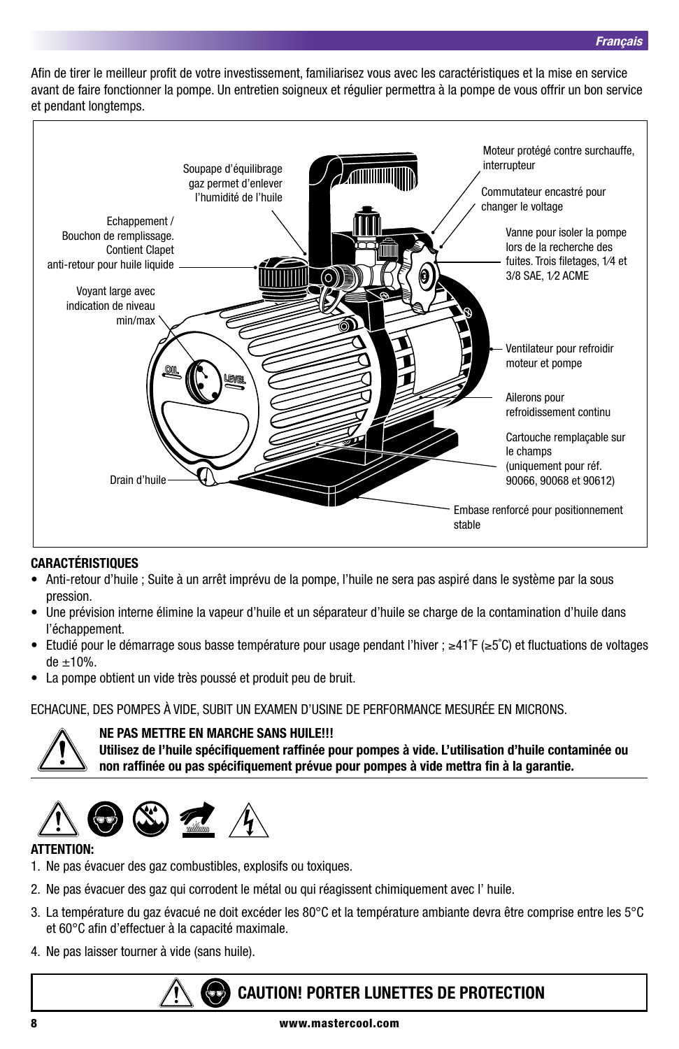Afin de tirer le meilleur profit de votre investissement, familiarisez vous avec les caractéristiques et la mise en service avant de faire fonctionner la pompe. Un entretien soigneux et régulier permettra à la pompe de vous offrir un bon service et pendant longtemps.



#### **CARACTÉRISTIQUES**

- Anti-retour d'huile ; Suite à un arrêt imprévu de la pompe, l'huile ne sera pas aspiré dans le système par la sous pression.
- Une prévision interne élimine la vapeur d'huile et un séparateur d'huile se charge de la contamination d'huile dans l'échappement.
- Etudié pour le démarrage sous basse température pour usage pendant l'hiver ; ≥41˚F (≥5˚C) et fluctuations de voltages  $de \pm 10%$ .
- La pompe obtient un vide très poussé et produit peu de bruit.

ECHACUNE, DES POMPES À VIDE, SUBIT UN EXAMEN D'USINE DE PERFORMANCE MESURÉE EN MICRONS.



#### **NE PAS METTRE EN MARCHE SANS HUILE!!!**

**Utilisez de l'huile spécifiquement raffinée pour pompes à vide. L'utilisation d'huile contaminée ou non raffinée ou pas spécifiquement prévue pour pompes à vide mettra fin à la garantie.**



#### **ATTENTION:**

- 1. Ne pas évacuer des gaz combustibles, explosifs ou toxiques.
- 2. Ne pas évacuer des gaz qui corrodent le métal ou qui réagissent chimiquement avec l' huile.
- 3. La température du gaz évacué ne doit excéder les 80°C et la température ambiante devra être comprise entre les 5°C et 60°C afin d'effectuer à la capacité maximale.
- 4. Ne pas laisser tourner à vide (sans huile).

## **CAUTION! PORTER LUNETTES DE PROTECTION**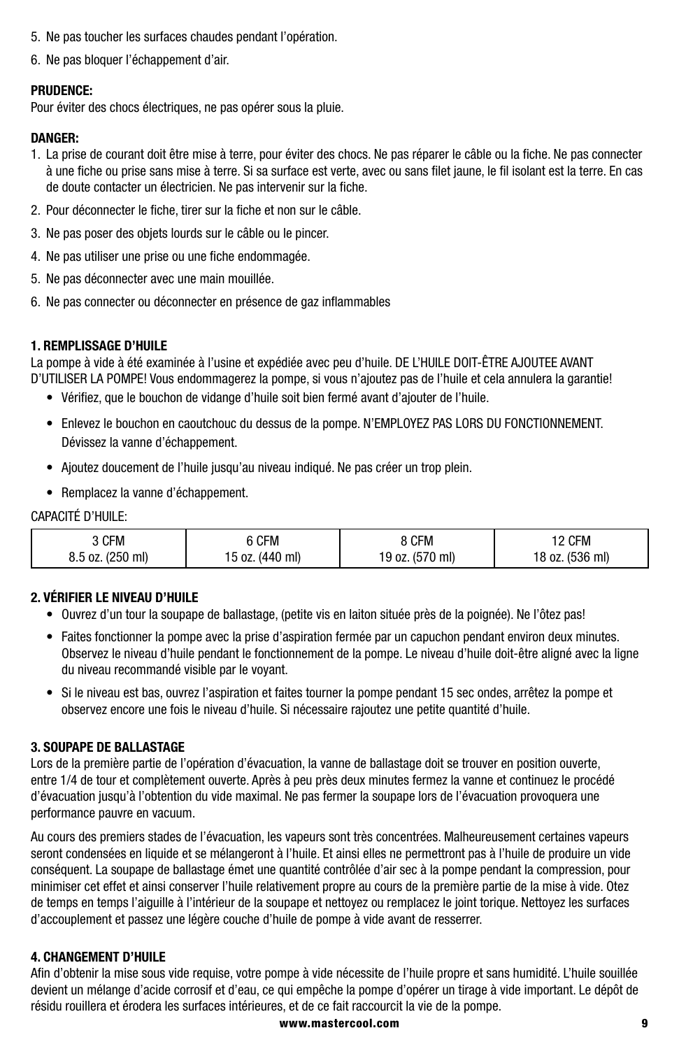- 5. Ne pas toucher les surfaces chaudes pendant l'opération.
- 6. Ne pas bloquer l'échappement d'air.

#### **PRUDENCE:**

Pour éviter des chocs électriques, ne pas opérer sous la pluie.

#### **DANGER:**

- 1. La prise de courant doit être mise à terre, pour éviter des chocs. Ne pas réparer le câble ou la fiche. Ne pas connecter à une fiche ou prise sans mise à terre. Si sa surface est verte, avec ou sans filet jaune, le fil isolant est la terre. En cas de doute contacter un électricien. Ne pas intervenir sur la fiche.
- 2. Pour déconnecter le fiche, tirer sur la fiche et non sur le câble.
- 3. Ne pas poser des objets lourds sur le câble ou le pincer.
- 4. Ne pas utiliser une prise ou une fiche endommagée.
- 5. Ne pas déconnecter avec une main mouillée.
- 6. Ne pas connecter ou déconnecter en présence de gaz inflammables

#### **1. REMPLISSAGE D'HUILE**

La pompe à vide à été examinée à l'usine et expédiée avec peu d'huile. DE L'HUILE DOIT-ÊTRE AJOUTEE AVANT D'UTILISER LA POMPE! Vous endommagerez la pompe, si vous n'ajoutez pas de l'huile et cela annulera la garantie!

- Vérifiez, que le bouchon de vidange d'huile soit bien fermé avant d'ajouter de l'huile.
- Enlevez le bouchon en caoutchouc du dessus de la pompe. N'EMPLOYEZ PAS LORS DU FONCTIONNEMENT. Dévissez la vanne d'échappement.
- Ajoutez doucement de l'huile jusqu'au niveau indiqué. Ne pas créer un trop plein.
- Remplacez la vanne d'échappement.

#### CAPACITÉ D'HUILE:

| 3 CFM            | 6 CFM           | 8 CFM           | 12 CFM          |
|------------------|-----------------|-----------------|-----------------|
| 8.5 oz. (250 ml) | 15 oz. (440 ml) | 19 oz. (570 ml) | 18 oz. (536 ml) |

#### **2. VÉRIFIER LE NIVEAU D'HUILE**

- Ouvrez d'un tour la soupape de ballastage, (petite vis en laiton située près de la poignée). Ne l'ôtez pas!
- Faites fonctionner la pompe avec la prise d'aspiration fermée par un capuchon pendant environ deux minutes. Observez le niveau d'huile pendant le fonctionnement de la pompe. Le niveau d'huile doit-être aligné avec la ligne du niveau recommandé visible par le voyant.
- Si le niveau est bas, ouvrez l'aspiration et faites tourner la pompe pendant 15 sec ondes, arrêtez la pompe et observez encore une fois le niveau d'huile. Si nécessaire rajoutez une petite quantité d'huile.

#### **3. SOUPAPE DE BALLASTAGE**

Lors de la première partie de l'opération d'évacuation, la vanne de ballastage doit se trouver en position ouverte, entre 1/4 de tour et complètement ouverte. Après à peu près deux minutes fermez la vanne et continuez le procédé d'évacuation jusqu'à l'obtention du vide maximal. Ne pas fermer la soupape lors de l'évacuation provoquera une performance pauvre en vacuum.

Au cours des premiers stades de l'évacuation, les vapeurs sont très concentrées. Malheureusement certaines vapeurs seront condensées en liquide et se mélangeront à l'huile. Et ainsi elles ne permettront pas à l'huile de produire un vide conséquent. La soupape de ballastage émet une quantité contrôlée d'air sec à la pompe pendant la compression, pour minimiser cet effet et ainsi conserver l'huile relativement propre au cours de la première partie de la mise à vide. Otez de temps en temps l'aiguille à l'intérieur de la soupape et nettoyez ou remplacez le joint torique. Nettoyez les surfaces d'accouplement et passez une légère couche d'huile de pompe à vide avant de resserrer.

#### **4. CHANGEMENT D'HUILE**

Afin d'obtenir la mise sous vide requise, votre pompe à vide nécessite de l'huile propre et sans humidité. L'huile souillée devient un mélange d'acide corrosif et d'eau, ce qui empêche la pompe d'opérer un tirage à vide important. Le dépôt de résidu rouillera et érodera les surfaces intérieures, et de ce fait raccourcit la vie de la pompe.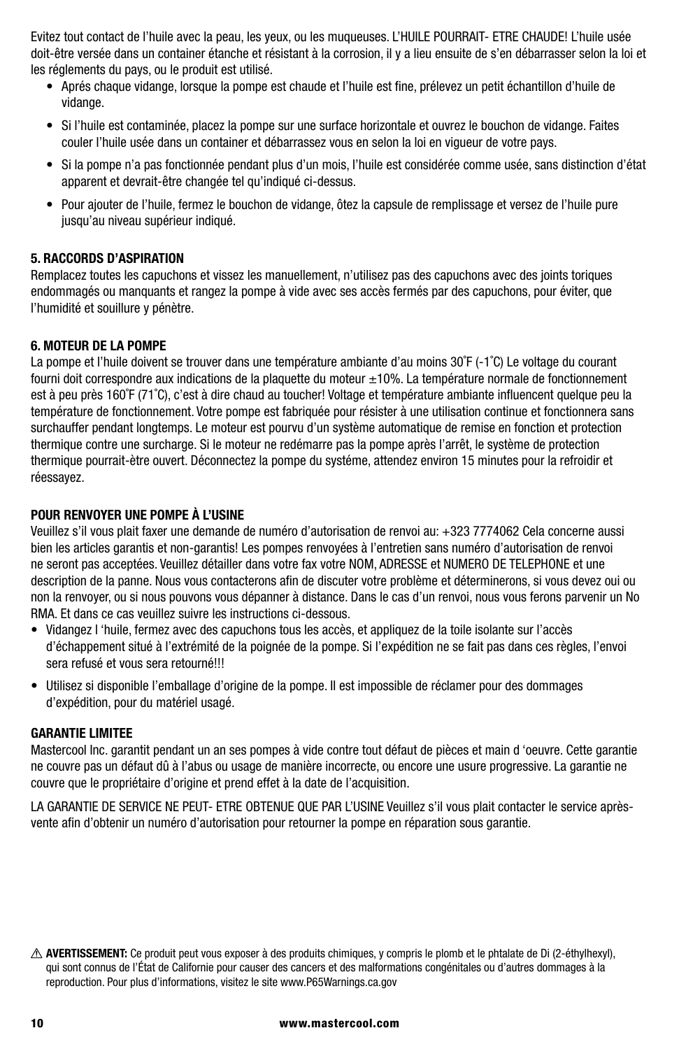Evitez tout contact de l'huile avec la peau, les yeux, ou les muqueuses. L'HUILE POURRAIT- ETRE CHAUDE! L'huile usée doit-être versée dans un container étanche et résistant à la corrosion, il y a lieu ensuite de s'en débarrasser selon la loi et les réglements du pays, ou le produit est utilisé.

- Aprés chaque vidange, lorsque la pompe est chaude et l'huile est fine, prélevez un petit échantillon d'huile de vidange.
- Si l'huile est contaminée, placez la pompe sur une surface horizontale et ouvrez le bouchon de vidange. Faites couler l'huile usée dans un container et débarrassez vous en selon la loi en vigueur de votre pays.
- Si la pompe n'a pas fonctionnée pendant plus d'un mois, l'huile est considérée comme usée, sans distinction d'état apparent et devrait-être changée tel qu'indiqué ci-dessus.
- Pour ajouter de l'huile, fermez le bouchon de vidange, ôtez la capsule de remplissage et versez de l'huile pure jusqu'au niveau supérieur indiqué.

#### **5. RACCORDS D'ASPIRATION**

Remplacez toutes les capuchons et vissez les manuellement, n'utilisez pas des capuchons avec des joints toriques endommagés ou manquants et rangez la pompe à vide avec ses accès fermés par des capuchons, pour éviter, que l'humidité et souillure y pénètre.

#### **6. MOTEUR DE LA POMPE**

La pompe et l'huile doivent se trouver dans une température ambiante d'au moins 30°F (-1°C) Le voltage du courant fourni doit correspondre aux indications de la plaquette du moteur ±10%. La température normale de fonctionnement est à peu près 160˚F (71˚C), c'est à dire chaud au toucher! Voltage et température ambiante influencent quelque peu la température de fonctionnement. Votre pompe est fabriquée pour résister à une utilisation continue et fonctionnera sans surchauffer pendant longtemps. Le moteur est pourvu d'un système automatique de remise en fonction et protection thermique contre une surcharge. Si le moteur ne redémarre pas la pompe après l'arrêt, le système de protection thermique pourrait-ètre ouvert. Déconnectez la pompe du systéme, attendez environ 15 minutes pour la refroidir et réessayez.

#### **POUR RENVOYER UNE POMPE À L'USINE**

Veuillez s'il vous plait faxer une demande de numéro d'autorisation de renvoi au: +323 7774062 Cela concerne aussi bien les articles garantis et non-garantis! Les pompes renvoyées à l'entretien sans numéro d'autorisation de renvoi ne seront pas acceptées. Veuillez détailler dans votre fax votre NOM, ADRESSE et NUMERO DE TELEPHONE et une description de la panne. Nous vous contacterons afin de discuter votre problème et déterminerons, si vous devez oui ou non la renvoyer, ou si nous pouvons vous dépanner à distance. Dans le cas d'un renvoi, nous vous ferons parvenir un No RMA. Et dans ce cas veuillez suivre les instructions ci-dessous.

- Vidangez l 'huile, fermez avec des capuchons tous les accès, et appliquez de la toile isolante sur l'accès d'échappement situé à l'extrémité de la poignée de la pompe. Si l'expédition ne se fait pas dans ces règles, l'envoi sera refusé et vous sera retourné!!!
- Utilisez si disponible l'emballage d'origine de la pompe. Il est impossible de réclamer pour des dommages d'expédition, pour du matériel usagé.

#### **GARANTIE LIMITEE**

Mastercool Inc. garantit pendant un an ses pompes à vide contre tout défaut de pièces et main d 'oeuvre. Cette garantie ne couvre pas un défaut dû à l'abus ou usage de manière incorrecte, ou encore une usure progressive. La garantie ne couvre que le propriétaire d'origine et prend effet à la date de l'acquisition.

LA GARANTIE DE SERVICE NE PEUT- ETRE OBTENUE QUE PAR L'USINE Veuillez s'il vous plait contacter le service aprèsvente afin d'obtenir un numéro d'autorisation pour retourner la pompe en réparation sous garantie.

**AVERTISSEMENT:** Ce produit peut vous exposer à des produits chimiques, y compris le plomb et le phtalate de Di (2-éthylhexyl), qui sont connus de l'État de Californie pour causer des cancers et des malformations congénitales ou d'autres dommages à la reproduction. Pour plus d'informations, visitez le site www.P65Warnings.ca.gov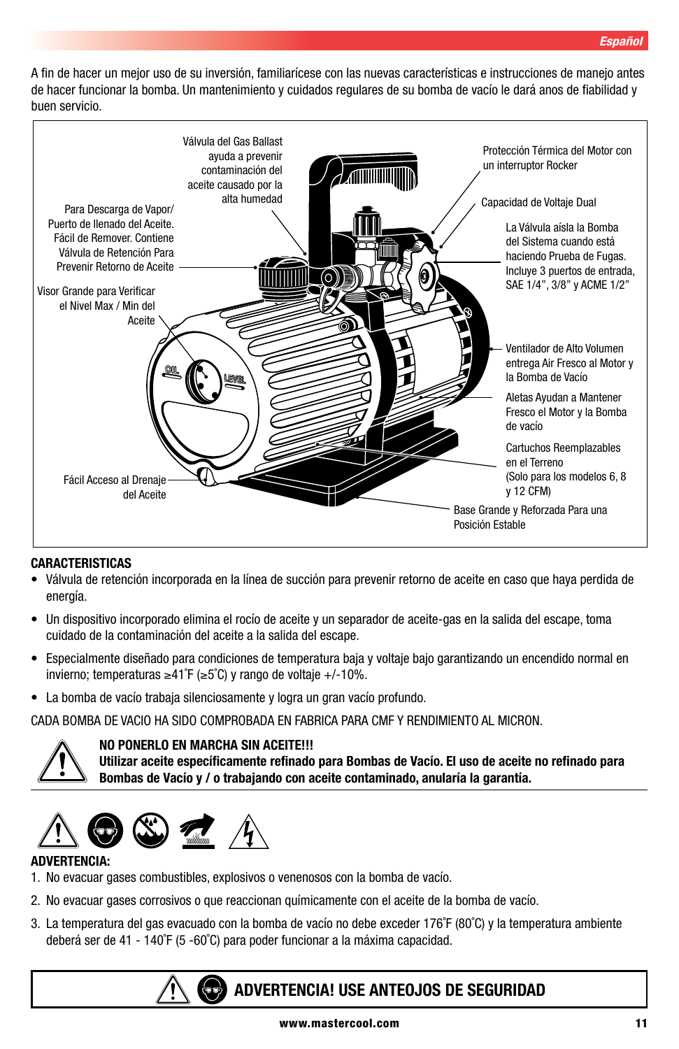A fin de hacer un mejor uso de su inversión, familiarícese con las nuevas características e instrucciones de manejo antes de hacer funcionar la bomba. Un mantenimiento y cuidados regulares de su bomba de vacío le dará anos de fiabilidad y buen servicio.



#### **CARACTERISTICAS**

- Válvula de retención incorporada en la línea de succión para prevenir retorno de aceite en caso que haya perdida de energía.
- Un dispositivo incorporado elimina el rocío de aceite y un separador de aceite-gas en la salida del escape, toma cuidado de la contaminación del aceite a la salida del escape.
- Especialmente diseñado para condiciones de temperatura baja y voltaje bajo garantizando un encendido normal en invierno; temperaturas ≥41˚F (≥5˚C) y rango de voltaje +/-10%.
- La bomba de vacío trabaja silenciosamente y logra un gran vacío profundo.

CADA BOMBA DE VACIO HA SIDO COMPROBADA EN FABRICA PARA CMF Y RENDIMIENTO AL MICRON.



#### **NO PONERLO EN MARCHA SIN ACEITE!!!**

**Utilizar aceite específicamente refinado para Bombas de Vacío. El uso de aceite no refinado para Bombas de Vacío y / o trabajando con aceite contaminado, anularía la garantía.**



#### **ADVERTENCIA:**

- 1. No evacuar gases combustibles, explosivos o venenosos con la bomba de vacío.
- 2. No evacuar gases corrosivos o que reaccionan químicamente con el aceite de la bomba de vacío.
- 3. La temperatura del gas evacuado con la bomba de vacío no debe exceder 176˚F (80˚C) y la temperatura ambiente deberá ser de 41 - 140˚F (5 -60˚C) para poder funcionar a la máxima capacidad.

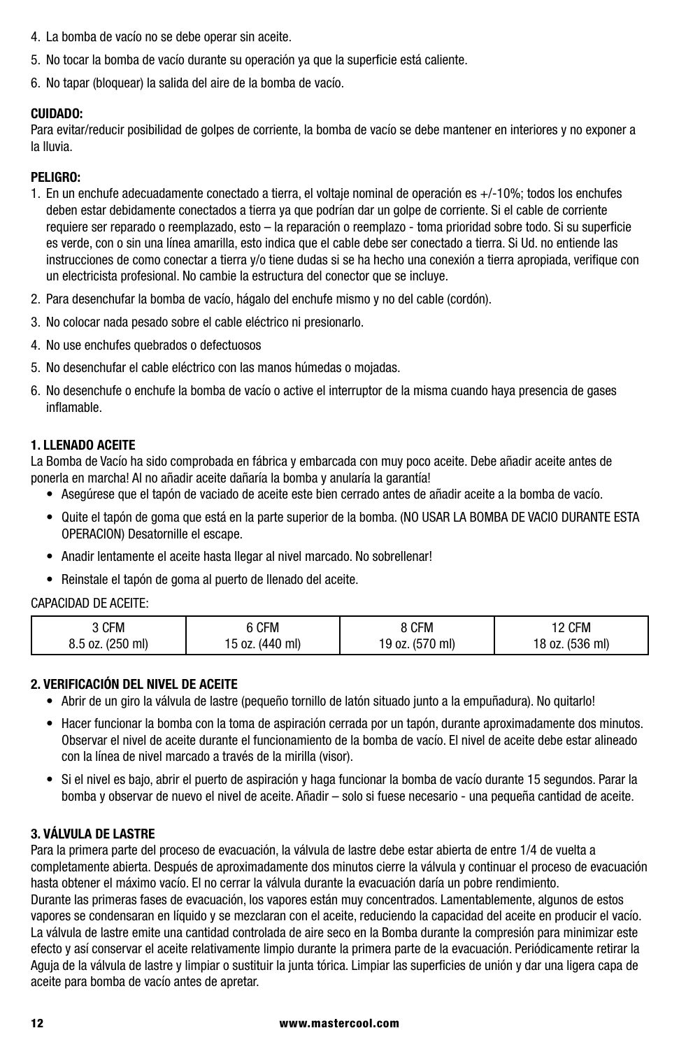- 4. La bomba de vacío no se debe operar sin aceite.
- 5. No tocar la bomba de vacío durante su operación ya que la superficie está caliente.
- 6. No tapar (bloquear) la salida del aire de la bomba de vacío.

#### **CUIDADO:**

Para evitar/reducir posibilidad de golpes de corriente, la bomba de vacío se debe mantener en interiores y no exponer a la lluvia.

#### **PELIGRO:**

- 1. En un enchufe adecuadamente conectado a tierra, el voltaje nominal de operación es +/-10%; todos los enchufes deben estar debidamente conectados a tierra ya que podrían dar un golpe de corriente. Si el cable de corriente requiere ser reparado o reemplazado, esto – la reparación o reemplazo - toma prioridad sobre todo. Si su superficie es verde, con o sin una línea amarilla, esto indica que el cable debe ser conectado a tierra. Si Ud. no entiende las instrucciones de como conectar a tierra y/o tiene dudas si se ha hecho una conexión a tierra apropiada, verifique con un electricista profesional. No cambie la estructura del conector que se incluye.
- 2. Para desenchufar la bomba de vacío, hágalo del enchufe mismo y no del cable (cordón).
- 3. No colocar nada pesado sobre el cable eléctrico ni presionarlo.
- 4. No use enchufes quebrados o defectuosos
- 5. No desenchufar el cable eléctrico con las manos húmedas o mojadas.
- 6. No desenchufe o enchufe la bomba de vacío o active el interruptor de la misma cuando haya presencia de gases inflamable.

#### **1. LLENADO ACEITE**

La Bomba de Vacío ha sido comprobada en fábrica y embarcada con muy poco aceite. Debe añadir aceite antes de ponerla en marcha! Al no añadir aceite dañaría la bomba y anularía la garantía!

- Asegúrese que el tapón de vaciado de aceite este bien cerrado antes de añadir aceite a la bomba de vacío.
- Quite el tapón de goma que está en la parte superior de la bomba. (NO USAR LA BOMBA DE VACIO DURANTE ESTA OPERACION) Desatornille el escape.
- Anadir lentamente el aceite hasta llegar al nivel marcado. No sobrellenar!
- Reinstale el tapón de goma al puerto de llenado del aceite.

#### CAPACIDAD DE ACEITE:

| კ CFM            | 6 CFM           | 8 CFM           | 2 CFM           |
|------------------|-----------------|-----------------|-----------------|
| 8.5 oz. (250 ml) | 15 oz. (440 ml) | 19 oz. (570 ml) | 18 oz. (536 ml) |

#### **2. VERIFICACIÓN DEL NIVEL DE ACEITE**

- Abrir de un giro la válvula de lastre (pequeño tornillo de latón situado junto a la empuñadura). No quitarlo!
- Hacer funcionar la bomba con la toma de aspiración cerrada por un tapón, durante aproximadamente dos minutos. Observar el nivel de aceite durante el funcionamiento de la bomba de vacío. El nivel de aceite debe estar alineado con la línea de nivel marcado a través de la mirilla (visor).
- Si el nivel es bajo, abrir el puerto de aspiración y haga funcionar la bomba de vacío durante 15 segundos. Parar la bomba y observar de nuevo el nivel de aceite. Añadir – solo si fuese necesario - una pequeña cantidad de aceite.

#### **3. VÁLVULA DE LASTRE**

Para la primera parte del proceso de evacuación, la válvula de lastre debe estar abierta de entre 1/4 de vuelta a completamente abierta. Después de aproximadamente dos minutos cierre la válvula y continuar el proceso de evacuación hasta obtener el máximo vacío. El no cerrar la válvula durante la evacuación daría un pobre rendimiento.

Durante las primeras fases de evacuación, los vapores están muy concentrados. Lamentablemente, algunos de estos vapores se condensaran en líquido y se mezclaran con el aceite, reduciendo la capacidad del aceite en producir el vacío. La válvula de lastre emite una cantidad controlada de aire seco en la Bomba durante la compresión para minimizar este efecto y así conservar el aceite relativamente limpio durante la primera parte de la evacuación. Periódicamente retirar la Aguja de la válvula de lastre y limpiar o sustituir la junta tórica. Limpiar las superficies de unión y dar una ligera capa de aceite para bomba de vacío antes de apretar.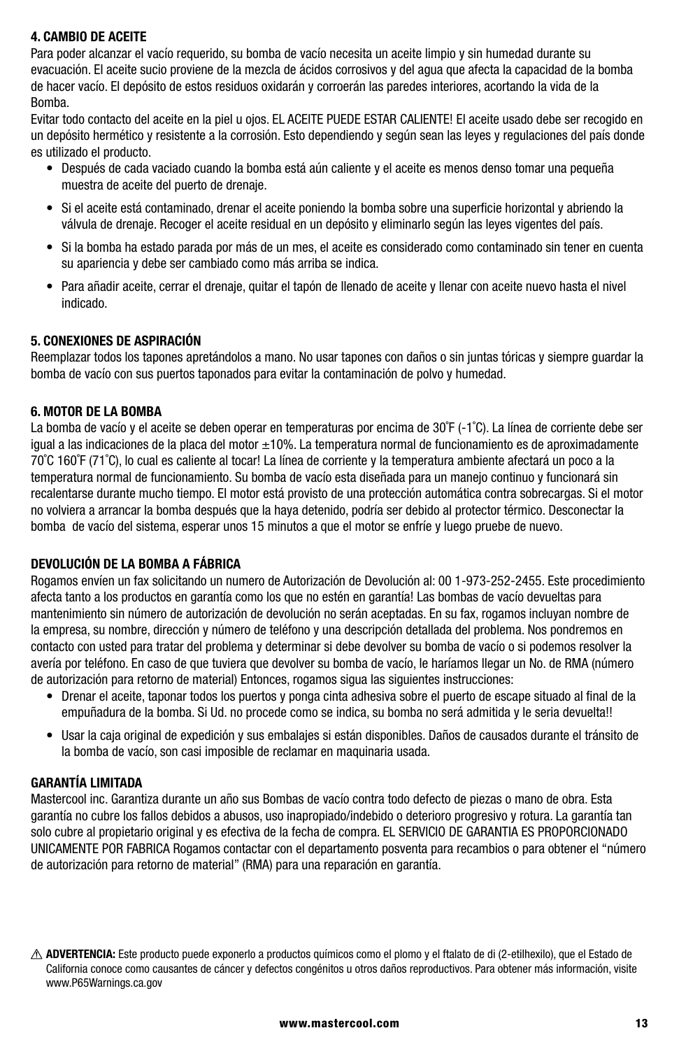#### **4. CAMBIO DE ACEITE**

Para poder alcanzar el vacío requerido, su bomba de vacío necesita un aceite limpio y sin humedad durante su evacuación. El aceite sucio proviene de la mezcla de ácidos corrosivos y del agua que afecta la capacidad de la bomba de hacer vacío. El depósito de estos residuos oxidarán y corroerán las paredes interiores, acortando la vida de la Bomba.

Evitar todo contacto del aceite en la piel u ojos. EL ACEITE PUEDE ESTAR CALIENTE! El aceite usado debe ser recogido en un depósito hermético y resistente a la corrosión. Esto dependiendo y según sean las leyes y regulaciones del país donde es utilizado el producto.

- Después de cada vaciado cuando la bomba está aún caliente y el aceite es menos denso tomar una pequeña muestra de aceite del puerto de drenaje.
- Si el aceite está contaminado, drenar el aceite poniendo la bomba sobre una superficie horizontal y abriendo la válvula de drenaje. Recoger el aceite residual en un depósito y eliminarlo según las leyes vigentes del país.
- Si la bomba ha estado parada por más de un mes, el aceite es considerado como contaminado sin tener en cuenta su apariencia y debe ser cambiado como más arriba se indica.
- Para añadir aceite, cerrar el drenaje, quitar el tapón de llenado de aceite y llenar con aceite nuevo hasta el nivel indicado.

#### **5. CONEXIONES DE ASPIRACIÓN**

Reemplazar todos los tapones apretándolos a mano. No usar tapones con daños o sin juntas tóricas y siempre guardar la bomba de vacío con sus puertos taponados para evitar la contaminación de polvo y humedad.

#### **6. MOTOR DE LA BOMBA**

La bomba de vacío y el aceite se deben operar en temperaturas por encima de 30<sup>°</sup>F (-1<sup>°</sup>C). La línea de corriente debe ser igual a las indicaciones de la placa del motor ±10%. La temperatura normal de funcionamiento es de aproximadamente 70˚C 160˚F (71˚C), lo cual es caliente al tocar! La línea de corriente y la temperatura ambiente afectará un poco a la temperatura normal de funcionamiento. Su bomba de vacío esta diseñada para un manejo continuo y funcionará sin recalentarse durante mucho tiempo. El motor está provisto de una protección automática contra sobrecargas. Si el motor no volviera a arrancar la bomba después que la haya detenido, podría ser debido al protector térmico. Desconectar la bomba de vacío del sistema, esperar unos 15 minutos a que el motor se enfríe y luego pruebe de nuevo.

#### **DEVOLUCIÓN DE LA BOMBA A FÁBRICA**

Rogamos envíen un fax solicitando un numero de Autorización de Devolución al: 00 1-973-252-2455. Este procedimiento afecta tanto a los productos en garantía como los que no estén en garantía! Las bombas de vacío devueltas para mantenimiento sin número de autorización de devolución no serán aceptadas. En su fax, rogamos incluyan nombre de la empresa, su nombre, dirección y número de teléfono y una descripción detallada del problema. Nos pondremos en contacto con usted para tratar del problema y determinar si debe devolver su bomba de vacío o si podemos resolver la avería por teléfono. En caso de que tuviera que devolver su bomba de vacío, le haríamos llegar un No. de RMA (número de autorización para retorno de material) Entonces, rogamos sigua las siguientes instrucciones:

- Drenar el aceite, taponar todos los puertos y ponga cinta adhesiva sobre el puerto de escape situado al final de la empuñadura de la bomba. Si Ud. no procede como se indica, su bomba no será admitida y le seria devuelta!!
- Usar la caja original de expedición y sus embalajes si están disponibles. Daños de causados durante el tránsito de la bomba de vacío, son casi imposible de reclamar en maquinaria usada.

#### **GARANTÍA LIMITADA**

Mastercool inc. Garantiza durante un año sus Bombas de vacío contra todo defecto de piezas o mano de obra. Esta garantía no cubre los fallos debidos a abusos, uso inapropiado/indebido o deterioro progresivo y rotura. La garantía tan solo cubre al propietario original y es efectiva de la fecha de compra. EL SERVICIO DE GARANTIA ES PROPORCIONADO UNICAMENTE POR FABRICA Rogamos contactar con el departamento posventa para recambios o para obtener el "número de autorización para retorno de material" (RMA) para una reparación en garantía.

**ADVERTENCIA:** Este producto puede exponerlo a productos químicos como el plomo y el ftalato de di (2-etilhexilo), que el Estado de California conoce como causantes de cáncer y defectos congénitos u otros daños reproductivos. Para obtener más información, visite www.P65Warnings.ca.gov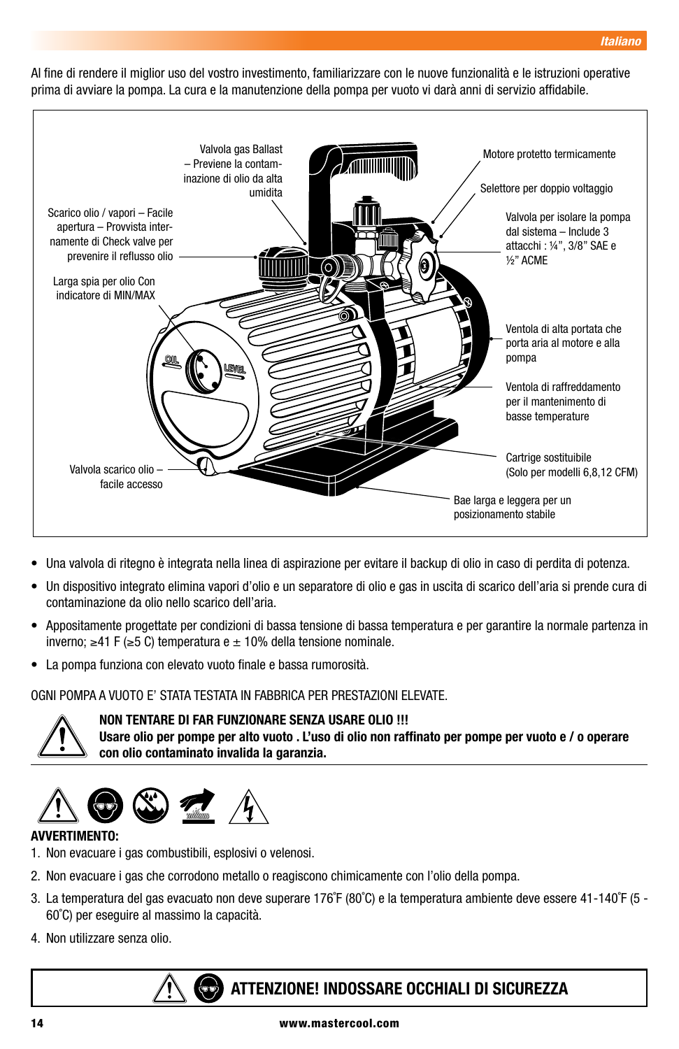Al fine di rendere il miglior uso del vostro investimento, familiarizzare con le nuove funzionalità e le istruzioni operative prima di avviare la pompa. La cura e la manutenzione della pompa per vuoto vi darà anni di servizio affidabile.



- Una valvola di ritegno è integrata nella linea di aspirazione per evitare il backup di olio in caso di perdita di potenza.
- Un dispositivo integrato elimina vapori d'olio e un separatore di olio e gas in uscita di scarico dell'aria si prende cura di contaminazione da olio nello scarico dell'aria.
- Appositamente progettate per condizioni di bassa tensione di bassa temperatura e per garantire la normale partenza in inverno; ≥41 F (≥5 C) temperatura e ± 10% della tensione nominale.
- La pompa funziona con elevato vuoto finale e bassa rumorosità.

OGNI POMPA A VUOTO E' STATA TESTATA IN FABBRICA PER PRESTAZIONI ELEVATE.



**NON TENTARE DI FAR FUNZIONARE SENZA USARE OLIO !!!**

**Usare olio per pompe per alto vuoto . L'uso di olio non raffinato per pompe per vuoto e / o operare con olio contaminato invalida la garanzia.**



#### **AVVERTIMENTO:**

- 1. Non evacuare i gas combustibili, esplosivi o velenosi.
- 2. Non evacuare i gas che corrodono metallo o reagiscono chimicamente con l'olio della pompa.
- 3. La temperatura del gas evacuato non deve superare 176˚F (80˚C) e la temperatura ambiente deve essere 41-140˚F (5 60˚C) per eseguire al massimo la capacità.
- 4. Non utilizzare senza olio.

# **ATTENZIONE! INDOSSARE OCCHIALI DI SICUREZZA**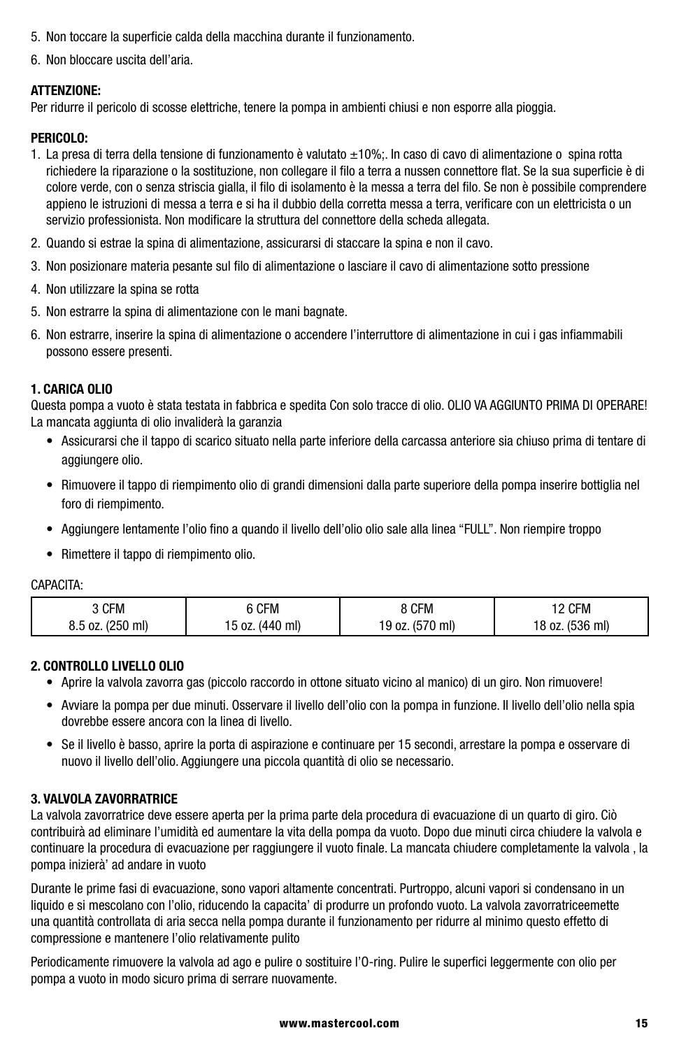- 5. Non toccare la superficie calda della macchina durante il funzionamento.
- 6. Non bloccare uscita dell'aria.

#### **ATTENZIONE:**

Per ridurre il pericolo di scosse elettriche, tenere la pompa in ambienti chiusi e non esporre alla pioggia.

#### **PERICOLO:**

- 1. La presa di terra della tensione di funzionamento è valutato ±10%;. In caso di cavo di alimentazione o spina rotta richiedere la riparazione o la sostituzione, non collegare il filo a terra a nussen connettore flat. Se la sua superficie è di colore verde, con o senza striscia gialla, il filo di isolamento è la messa a terra del filo. Se non è possibile comprendere appieno le istruzioni di messa a terra e si ha il dubbio della corretta messa a terra, verificare con un elettricista o un servizio professionista. Non modificare la struttura del connettore della scheda allegata.
- 2. Quando si estrae la spina di alimentazione, assicurarsi di staccare la spina e non il cavo.
- 3. Non posizionare materia pesante sul filo di alimentazione o lasciare il cavo di alimentazione sotto pressione
- 4. Non utilizzare la spina se rotta
- 5. Non estrarre la spina di alimentazione con le mani bagnate.
- 6. Non estrarre, inserire la spina di alimentazione o accendere l'interruttore di alimentazione in cui i gas infiammabili possono essere presenti.

#### **1. CARICA OLIO**

Questa pompa a vuoto è stata testata in fabbrica e spedita Con solo tracce di olio. OLIO VA AGGIUNTO PRIMA DI OPERARE! La mancata aggiunta di olio invaliderà la garanzia

- Assicurarsi che il tappo di scarico situato nella parte inferiore della carcassa anteriore sia chiuso prima di tentare di aggiungere olio.
- Rimuovere il tappo di riempimento olio di grandi dimensioni dalla parte superiore della pompa inserire bottiglia nel foro di riempimento.
- Aggiungere lentamente l'olio fino a quando il livello dell'olio olio sale alla linea "FULL". Non riempire troppo
- Rimettere il tappo di riempimento olio.

#### CAPACITA:

| 3 CFM            | 6 CFM           | 8 CFM           | <b>2 CFM</b>    |
|------------------|-----------------|-----------------|-----------------|
| 8.5 oz. (250 ml) | 15 oz. (440 ml) | 19 oz. (570 ml) | 18 oz. (536 ml) |

#### **2. CONTROLLO LIVELLO OLIO**

- Aprire la valvola zavorra gas (piccolo raccordo in ottone situato vicino al manico) di un giro. Non rimuovere!
- Avviare la pompa per due minuti. Osservare il livello dell'olio con la pompa in funzione. Il livello dell'olio nella spia dovrebbe essere ancora con la linea di livello.
- Se il livello è basso, aprire la porta di aspirazione e continuare per 15 secondi, arrestare la pompa e osservare di nuovo il livello dell'olio. Aggiungere una piccola quantità di olio se necessario.

#### **3. VALVOLA ZAVORRATRICE**

La valvola zavorratrice deve essere aperta per la prima parte dela procedura di evacuazione di un quarto di giro. Ciò contribuirà ad eliminare l'umidità ed aumentare la vita della pompa da vuoto. Dopo due minuti circa chiudere la valvola e continuare la procedura di evacuazione per raggiungere il vuoto finale. La mancata chiudere completamente la valvola , la pompa inizierà' ad andare in vuoto

Durante le prime fasi di evacuazione, sono vapori altamente concentrati. Purtroppo, alcuni vapori si condensano in un liquido e si mescolano con l'olio, riducendo la capacita' di produrre un profondo vuoto. La valvola zavorratriceemette una quantità controllata di aria secca nella pompa durante il funzionamento per ridurre al minimo questo effetto di compressione e mantenere l'olio relativamente pulito

Periodicamente rimuovere la valvola ad ago e pulire o sostituire l'O-ring. Pulire le superfici leggermente con olio per pompa a vuoto in modo sicuro prima di serrare nuovamente.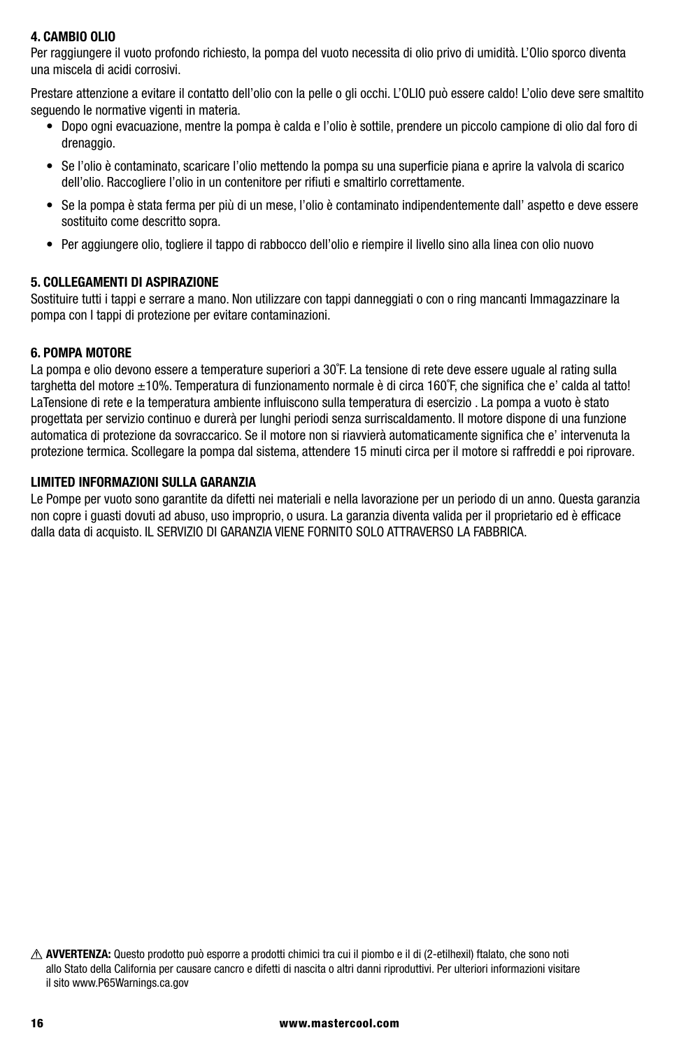#### **4. CAMBIO OLIO**

Per raggiungere il vuoto profondo richiesto, la pompa del vuoto necessita di olio privo di umidità. L'Olio sporco diventa una miscela di acidi corrosivi.

Prestare attenzione a evitare il contatto dell'olio con la pelle o gli occhi. L'OLIO può essere caldo! L'olio deve sere smaltito seguendo le normative vigenti in materia.

- Dopo ogni evacuazione, mentre la pompa è calda e l'olio è sottile, prendere un piccolo campione di olio dal foro di drenaggio.
- Se l'olio è contaminato, scaricare l'olio mettendo la pompa su una superficie piana e aprire la valvola di scarico dell'olio. Raccogliere l'olio in un contenitore per rifiuti e smaltirlo correttamente.
- Se la pompa è stata ferma per più di un mese, l'olio è contaminato indipendentemente dall' aspetto e deve essere sostituito come descritto sopra.
- Per aggiungere olio, togliere il tappo di rabbocco dell'olio e riempire il livello sino alla linea con olio nuovo

#### **5. COLLEGAMENTI DI ASPIRAZIONE**

Sostituire tutti i tappi e serrare a mano. Non utilizzare con tappi danneggiati o con o ring mancanti Immagazzinare la pompa con I tappi di protezione per evitare contaminazioni.

#### **6. POMPA MOTORE**

La pompa e olio devono essere a temperature superiori a 30˚F. La tensione di rete deve essere uguale al rating sulla targhetta del motore ±10%. Temperatura di funzionamento normale è di circa 160˚F, che significa che e' calda al tatto! LaTensione di rete e la temperatura ambiente influiscono sulla temperatura di esercizio . La pompa a vuoto è stato progettata per servizio continuo e durerà per lunghi periodi senza surriscaldamento. Il motore dispone di una funzione automatica di protezione da sovraccarico. Se il motore non si riavvierà automaticamente significa che e' intervenuta la protezione termica. Scollegare la pompa dal sistema, attendere 15 minuti circa per il motore si raffreddi e poi riprovare.

#### **LIMITED INFORMAZIONI SULLA GARANZIA**

Le Pompe per vuoto sono garantite da difetti nei materiali e nella lavorazione per un periodo di un anno. Questa garanzia non copre i guasti dovuti ad abuso, uso improprio, o usura. La garanzia diventa valida per il proprietario ed è efficace dalla data di acquisto. IL SERVIZIO DI GARANZIA VIENE FORNITO SOLO ATTRAVERSO LA FABBRICA.

**AVVERTENZA:** Questo prodotto può esporre a prodotti chimici tra cui il piombo e il di (2-etilhexil) ftalato, che sono noti allo Stato della California per causare cancro e difetti di nascita o altri danni riproduttivi. Per ulteriori informazioni visitare il sito www.P65Warnings.ca.gov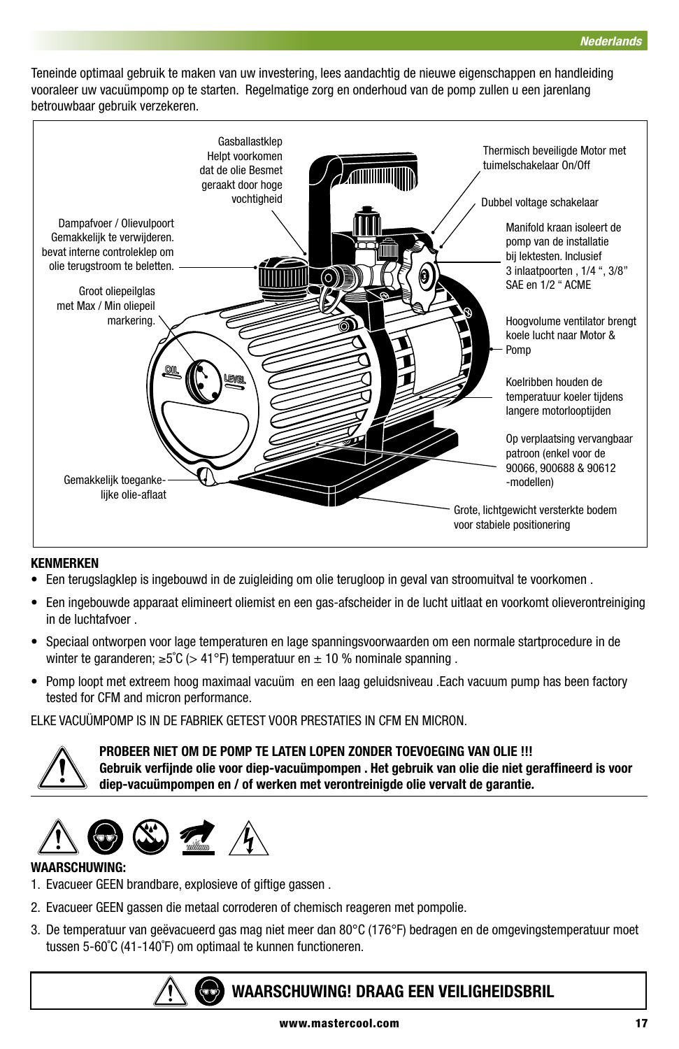Teneinde optimaal gebruik te maken van uw investering, lees aandachtig de nieuwe eigenschappen en handleiding vooraleer uw vacuümpomp op te starten. Regelmatige zorg en onderhoud van de pomp zullen u een jarenlang betrouwbaar gebruik verzekeren.



#### **KENMERKEN**

- Een terugslagklep is ingebouwd in de zuigleiding om olie terugloop in geval van stroomuitval te voorkomen .
- Een ingebouwde apparaat elimineert oliemist en een gas-afscheider in de lucht uitlaat en voorkomt olieverontreiniging in de luchtafvoer .
- Speciaal ontworpen voor lage temperaturen en lage spanningsvoorwaarden om een normale startprocedure in de winter te garanderen;  $\geq 5^{\circ}$ C (> 41°F) temperatuur en  $\pm$  10 % nominale spanning.
- Pomp loopt met extreem hoog maximaal vacuüm en een laag geluidsniveau .Each vacuum pump has been factory tested for CFM and micron performance.

ELKE VACUÜMPOMP IS IN DE FABRIEK GETEST VOOR PRESTATIES IN CFM EN MICRON.



**PROBEER NIET OM DE POMP TE LATEN LOPEN ZONDER TOEVOEGING VAN OLIE !!! Gebruik verfijnde olie voor diep-vacuümpompen . Het gebruik van olie die niet geraffineerd is voor diep-vacuümpompen en / of werken met verontreinigde olie vervalt de garantie.**



#### **WAARSCHUWING:**

- 1. Evacueer GEEN brandbare, explosieve of giftige gassen .
- 2. Evacueer GEEN gassen die metaal corroderen of chemisch reageren met pompolie.
- 3. De temperatuur van geëvacueerd gas mag niet meer dan 80°C (176°F) bedragen en de omgevingstemperatuur moet tussen 5-60˚C (41-140˚F) om optimaal te kunnen functioneren.



# **WAARSCHUWING! DRAAG EEN VEILIGHEIDSBRIL**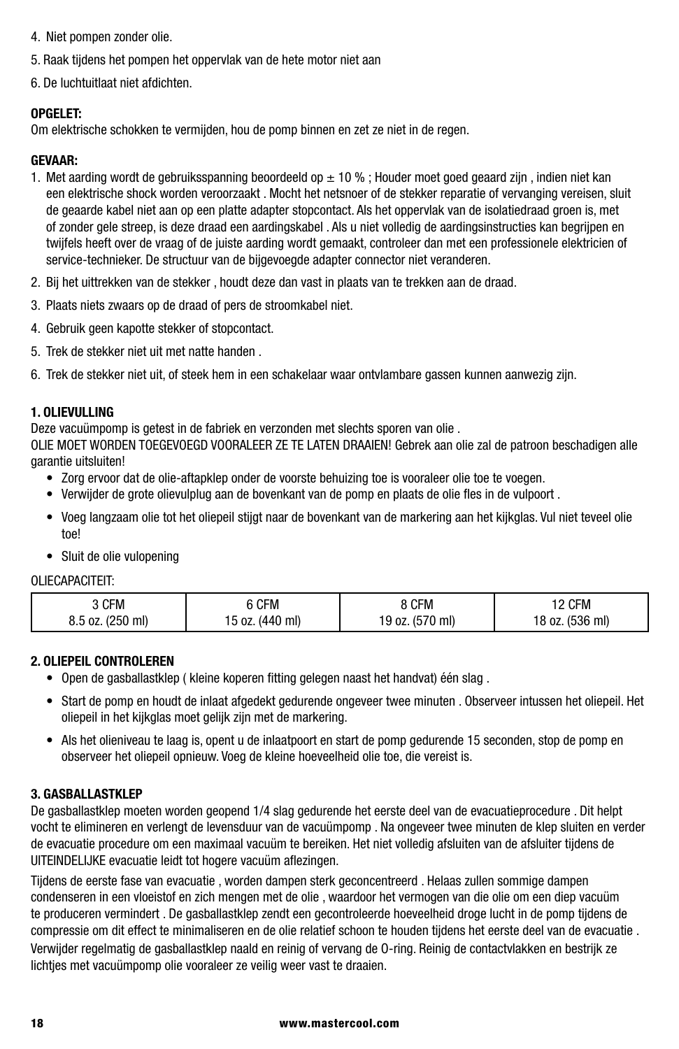- 4. Niet pompen zonder olie.
- 5. Raak tijdens het pompen het oppervlak van de hete motor niet aan
- 6. De luchtuitlaat niet afdichten.

#### **OPGELET:**

Om elektrische schokken te vermijden, hou de pomp binnen en zet ze niet in de regen.

#### **GEVAAR:**

- 1. Met aarding wordt de gebruiksspanning beoordeeld op ± 10 % ; Houder moet goed geaard zijn , indien niet kan een elektrische shock worden veroorzaakt . Mocht het netsnoer of de stekker reparatie of vervanging vereisen, sluit de geaarde kabel niet aan op een platte adapter stopcontact. Als het oppervlak van de isolatiedraad groen is, met of zonder gele streep, is deze draad een aardingskabel . Als u niet volledig de aardingsinstructies kan begrijpen en twijfels heeft over de vraag of de juiste aarding wordt gemaakt, controleer dan met een professionele elektricien of service-technieker. De structuur van de bijgevoegde adapter connector niet veranderen.
- 2. Bij het uittrekken van de stekker , houdt deze dan vast in plaats van te trekken aan de draad.
- 3. Plaats niets zwaars op de draad of pers de stroomkabel niet.
- 4. Gebruik geen kapotte stekker of stopcontact.
- 5. Trek de stekker niet uit met natte handen .
- 6. Trek de stekker niet uit, of steek hem in een schakelaar waar ontvlambare gassen kunnen aanwezig zijn.

#### **1. OLIEVULLING**

Deze vacuümpomp is getest in de fabriek en verzonden met slechts sporen van olie .

OLIE MOET WORDEN TOEGEVOEGD VOORALEER ZE TE LATEN DRAAIEN! Gebrek aan olie zal de patroon beschadigen alle garantie uitsluiten!

- Zorg ervoor dat de olie-aftapklep onder de voorste behuizing toe is vooraleer olie toe te voegen.
- Verwijder de grote olievulplug aan de bovenkant van de pomp en plaats de olie fles in de vulpoort .
- Voeg langzaam olie tot het oliepeil stijgt naar de bovenkant van de markering aan het kijkglas. Vul niet teveel olie toe!
- Sluit de olie vulopening

#### OLIECAPACITEIT:

| CFM              | 6 CFM           | 3 CFM           | 12 CFM          |
|------------------|-----------------|-----------------|-----------------|
| 8.5 oz. (250 ml) | 15 oz. (440 ml) | 19 oz. (570 ml) | 18 oz. (536 ml) |

#### **2. OLIEPEIL CONTROLEREN**

- Open de gasballastklep ( kleine koperen fitting gelegen naast het handvat) één slag .
- Start de pomp en houdt de inlaat afgedekt gedurende ongeveer twee minuten . Observeer intussen het oliepeil. Het oliepeil in het kijkglas moet gelijk zijn met de markering.
- Als het olieniveau te laag is, opent u de inlaatpoort en start de pomp gedurende 15 seconden, stop de pomp en observeer het oliepeil opnieuw. Voeg de kleine hoeveelheid olie toe, die vereist is.

#### **3. GASBALLASTKLEP**

De gasballastklep moeten worden geopend 1/4 slag gedurende het eerste deel van de evacuatieprocedure . Dit helpt vocht te elimineren en verlengt de levensduur van de vacuümpomp . Na ongeveer twee minuten de klep sluiten en verder de evacuatie procedure om een maximaal vacuüm te bereiken. Het niet volledig afsluiten van de afsluiter tijdens de UITEINDELIJKE evacuatie leidt tot hogere vacuüm aflezingen.

Tijdens de eerste fase van evacuatie , worden dampen sterk geconcentreerd . Helaas zullen sommige dampen condenseren in een vloeistof en zich mengen met de olie , waardoor het vermogen van die olie om een diep vacuüm te produceren vermindert . De gasballastklep zendt een gecontroleerde hoeveelheid droge lucht in de pomp tijdens de compressie om dit effect te minimaliseren en de olie relatief schoon te houden tijdens het eerste deel van de evacuatie . Verwijder regelmatig de gasballastklep naald en reinig of vervang de O-ring. Reinig de contactvlakken en bestrijk ze lichtjes met vacuümpomp olie vooraleer ze veilig weer vast te draaien.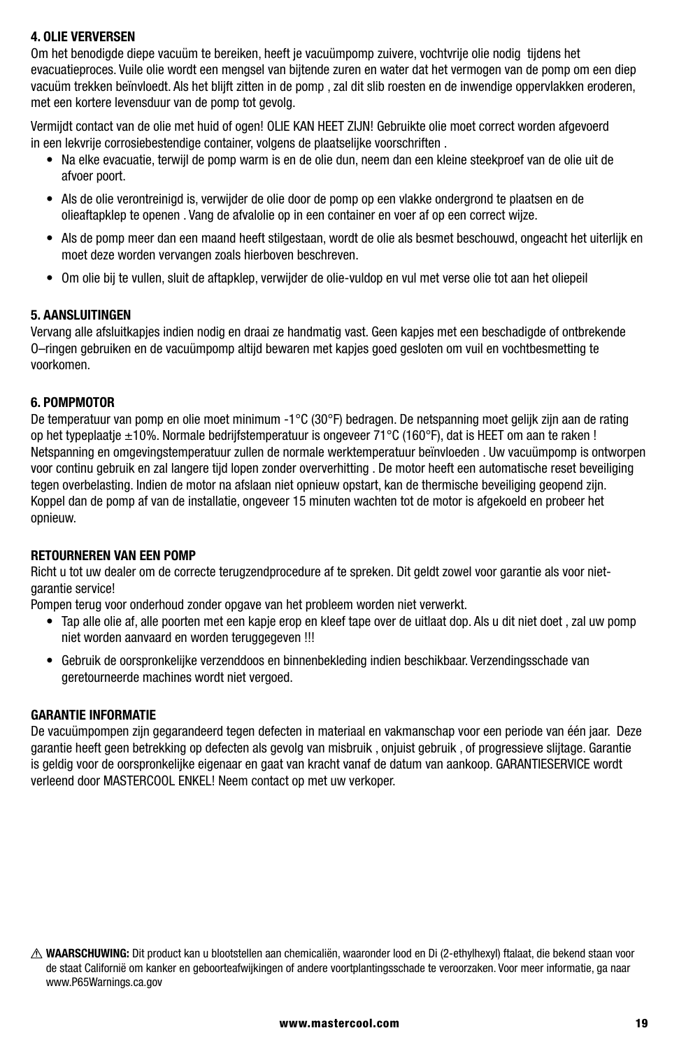#### **4. OLIE VERVERSEN**

Om het benodigde diepe vacuüm te bereiken, heeft je vacuümpomp zuivere, vochtvrije olie nodig tijdens het evacuatieproces. Vuile olie wordt een mengsel van bijtende zuren en water dat het vermogen van de pomp om een diep vacuüm trekken beïnvloedt. Als het blijft zitten in de pomp , zal dit slib roesten en de inwendige oppervlakken eroderen, met een kortere levensduur van de pomp tot gevolg.

Vermijdt contact van de olie met huid of ogen! OLIE KAN HEET ZIJN! Gebruikte olie moet correct worden afgevoerd in een lekvrije corrosiebestendige container, volgens de plaatselijke voorschriften .

- Na elke evacuatie, terwijl de pomp warm is en de olie dun, neem dan een kleine steekproef van de olie uit de afvoer poort.
- Als de olie verontreinigd is, verwijder de olie door de pomp op een vlakke ondergrond te plaatsen en de olieaftapklep te openen . Vang de afvalolie op in een container en voer af op een correct wijze.
- Als de pomp meer dan een maand heeft stilgestaan, wordt de olie als besmet beschouwd, ongeacht het uiterlijk en moet deze worden vervangen zoals hierboven beschreven.
- Om olie bij te vullen, sluit de aftapklep, verwijder de olie-vuldop en vul met verse olie tot aan het oliepeil

#### **5. AANSLUITINGEN**

Vervang alle afsluitkapjes indien nodig en draai ze handmatig vast. Geen kapjes met een beschadigde of ontbrekende O–ringen gebruiken en de vacuümpomp altijd bewaren met kapjes goed gesloten om vuil en vochtbesmetting te voorkomen.

#### **6. POMPMOTOR**

De temperatuur van pomp en olie moet minimum -1°C (30°F) bedragen. De netspanning moet gelijk zijn aan de rating op het typeplaatje ±10%. Normale bedrijfstemperatuur is ongeveer 71°C (160°F), dat is HEET om aan te raken ! Netspanning en omgevingstemperatuur zullen de normale werktemperatuur beïnvloeden . Uw vacuümpomp is ontworpen voor continu gebruik en zal langere tijd lopen zonder oververhitting . De motor heeft een automatische reset beveiliging tegen overbelasting. Indien de motor na afslaan niet opnieuw opstart, kan de thermische beveiliging geopend zijn. Koppel dan de pomp af van de installatie, ongeveer 15 minuten wachten tot de motor is afgekoeld en probeer het opnieuw.

#### **RETOURNEREN VAN EEN POMP**

Richt u tot uw dealer om de correcte terugzendprocedure af te spreken. Dit geldt zowel voor garantie als voor nietgarantie service!

Pompen terug voor onderhoud zonder opgave van het probleem worden niet verwerkt.

- Tap alle olie af, alle poorten met een kapje erop en kleef tape over de uitlaat dop. Als u dit niet doet , zal uw pomp niet worden aanvaard en worden teruggegeven !!!
- Gebruik de oorspronkelijke verzenddoos en binnenbekleding indien beschikbaar. Verzendingsschade van geretourneerde machines wordt niet vergoed.

#### **GARANTIE INFORMATIE**

De vacuümpompen zijn gegarandeerd tegen defecten in materiaal en vakmanschap voor een periode van één jaar. Deze garantie heeft geen betrekking op defecten als gevolg van misbruik , onjuist gebruik , of progressieve slijtage. Garantie is geldig voor de oorspronkelijke eigenaar en gaat van kracht vanaf de datum van aankoop. GARANTIESERVICE wordt verleend door MASTERCOOL ENKEL! Neem contact op met uw verkoper.

**WAARSCHUWING:** Dit product kan u blootstellen aan chemicaliën, waaronder lood en Di (2-ethylhexyl) ftalaat, die bekend staan voor de staat Californië om kanker en geboorteafwijkingen of andere voortplantingsschade te veroorzaken. Voor meer informatie, ga naar www.P65Warnings.ca.gov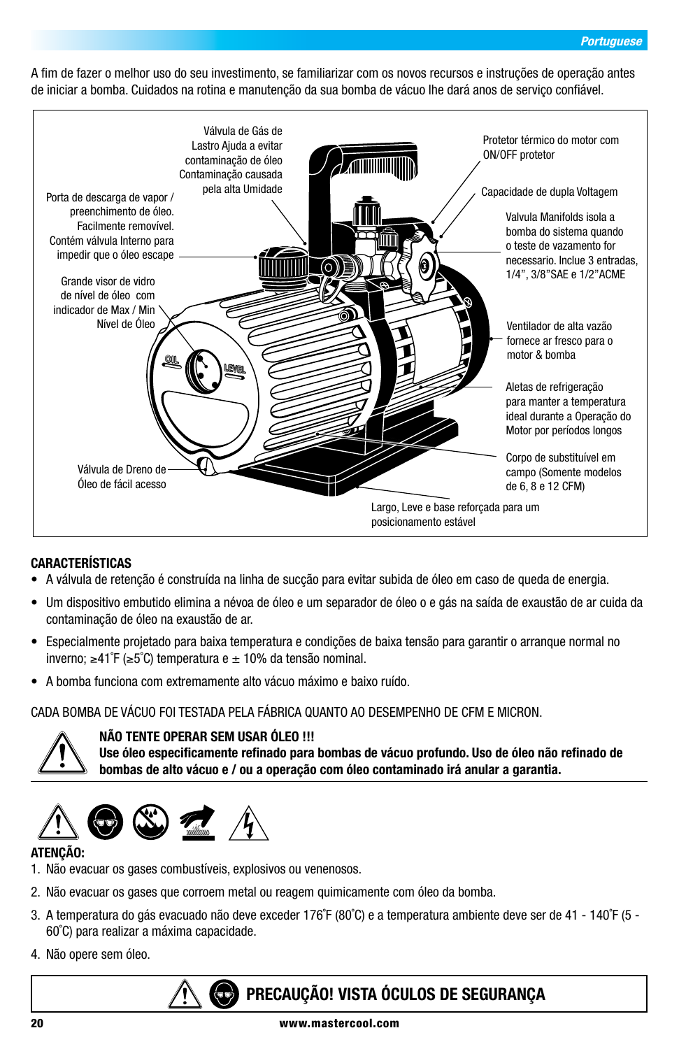A fim de fazer o melhor uso do seu investimento, se familiarizar com os novos recursos e instruções de operação antes de iniciar a bomba. Cuidados na rotina e manutenção da sua bomba de vácuo lhe dará anos de serviço confiável.



#### **CARACTERÍSTICAS**

- A válvula de retenção é construída na linha de sucção para evitar subida de óleo em caso de queda de energia.
- Um dispositivo embutido elimina a névoa de óleo e um separador de óleo o e gás na saída de exaustão de ar cuida da contaminação de óleo na exaustão de ar.
- Especialmente projetado para baixa temperatura e condições de baixa tensão para garantir o arranque normal no inverno; ≥41˚F (≥5˚C) temperatura e ± 10% da tensão nominal.
- A bomba funciona com extremamente alto vácuo máximo e baixo ruído.

#### CADA BOMBA DE VÁCUO FOI TESTADA PELA FÁBRICA QUANTO AO DESEMPENHO DE CFM E MICRON.



#### **NÃO TENTE OPERAR SEM USAR ÓLEO !!!**

**Use óleo especificamente refinado para bombas de vácuo profundo. Uso de óleo não refinado de bombas de alto vácuo e / ou a operação com óleo contaminado irá anular a garantia.**



#### **ATENÇÃO:**

- 1. Não evacuar os gases combustíveis, explosivos ou venenosos.
- 2. Não evacuar os gases que corroem metal ou reagem quimicamente com óleo da bomba.
- 3. A temperatura do gás evacuado não deve exceder 176˚F (80˚C) e a temperatura ambiente deve ser de 41 140˚F (5 60˚C) para realizar a máxima capacidade.
- 4. Não opere sem óleo.

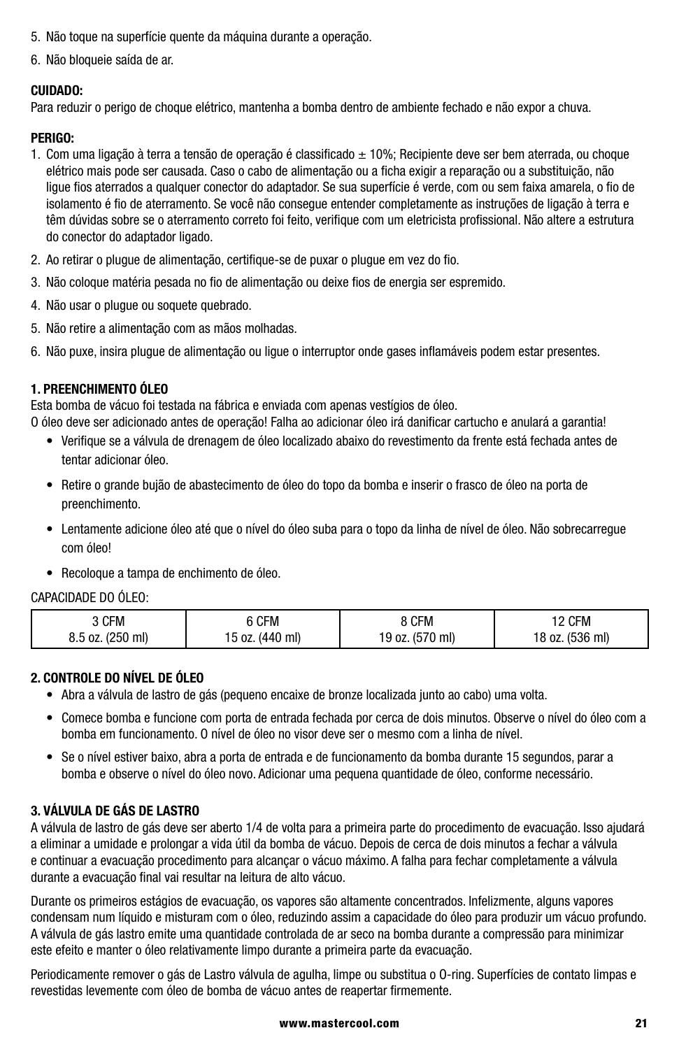- 5. Não toque na superfície quente da máquina durante a operação.
- 6. Não bloqueie saída de ar.

#### **CUIDADO:**

Para reduzir o perigo de choque elétrico, mantenha a bomba dentro de ambiente fechado e não expor a chuva.

#### **PERIGO:**

- 1. Com uma ligação à terra a tensão de operação é classificado ± 10%; Recipiente deve ser bem aterrada, ou choque elétrico mais pode ser causada. Caso o cabo de alimentação ou a ficha exigir a reparação ou a substituição, não ligue fios aterrados a qualquer conector do adaptador. Se sua superfície é verde, com ou sem faixa amarela, o fio de isolamento é fio de aterramento. Se você não consegue entender completamente as instruções de ligação à terra e têm dúvidas sobre se o aterramento correto foi feito, verifique com um eletricista profissional. Não altere a estrutura do conector do adaptador ligado.
- 2. Ao retirar o plugue de alimentação, certifique-se de puxar o plugue em vez do fio.
- 3. Não coloque matéria pesada no fio de alimentação ou deixe fios de energia ser espremido.
- 4. Não usar o plugue ou soquete quebrado.
- 5. Não retire a alimentação com as mãos molhadas.
- 6. Não puxe, insira plugue de alimentação ou ligue o interruptor onde gases inflamáveis podem estar presentes.

#### **1. PREENCHIMENTO ÓLEO**

Esta bomba de vácuo foi testada na fábrica e enviada com apenas vestígios de óleo.

O óleo deve ser adicionado antes de operação! Falha ao adicionar óleo irá danificar cartucho e anulará a garantia!

- Verifique se a válvula de drenagem de óleo localizado abaixo do revestimento da frente está fechada antes de tentar adicionar óleo.
- Retire o grande bujão de abastecimento de óleo do topo da bomba e inserir o frasco de óleo na porta de preenchimento.
- Lentamente adicione óleo até que o nível do óleo suba para o topo da linha de nível de óleo. Não sobrecarregue com óleo!
- Recoloque a tampa de enchimento de óleo.

#### CAPACIDADE DO ÓLEO:

| CFM              | 6 CFM           | 8 CFM           | 12 CFM          |
|------------------|-----------------|-----------------|-----------------|
| 8.5 oz. (250 ml) | 15 oz. (440 ml) | 19 oz. (570 ml) | 18 oz. (536 ml) |

#### **2. CONTROLE DO NÍVEL DE ÓLEO**

- Abra a válvula de lastro de gás (pequeno encaixe de bronze localizada junto ao cabo) uma volta.
- Comece bomba e funcione com porta de entrada fechada por cerca de dois minutos. Observe o nível do óleo com a bomba em funcionamento. O nível de óleo no visor deve ser o mesmo com a linha de nível.
- Se o nível estiver baixo, abra a porta de entrada e de funcionamento da bomba durante 15 segundos, parar a bomba e observe o nível do óleo novo. Adicionar uma pequena quantidade de óleo, conforme necessário.

#### **3. VÁLVULA DE GÁS DE LASTRO**

A válvula de lastro de gás deve ser aberto 1/4 de volta para a primeira parte do procedimento de evacuação. Isso ajudará a eliminar a umidade e prolongar a vida útil da bomba de vácuo. Depois de cerca de dois minutos a fechar a válvula e continuar a evacuação procedimento para alcançar o vácuo máximo. A falha para fechar completamente a válvula durante a evacuação final vai resultar na leitura de alto vácuo.

Durante os primeiros estágios de evacuação, os vapores são altamente concentrados. Infelizmente, alguns vapores condensam num líquido e misturam com o óleo, reduzindo assim a capacidade do óleo para produzir um vácuo profundo. A válvula de gás lastro emite uma quantidade controlada de ar seco na bomba durante a compressão para minimizar este efeito e manter o óleo relativamente limpo durante a primeira parte da evacuação.

Periodicamente remover o gás de Lastro válvula de agulha, limpe ou substitua o O-ring. Superfícies de contato limpas e revestidas levemente com óleo de bomba de vácuo antes de reapertar firmemente.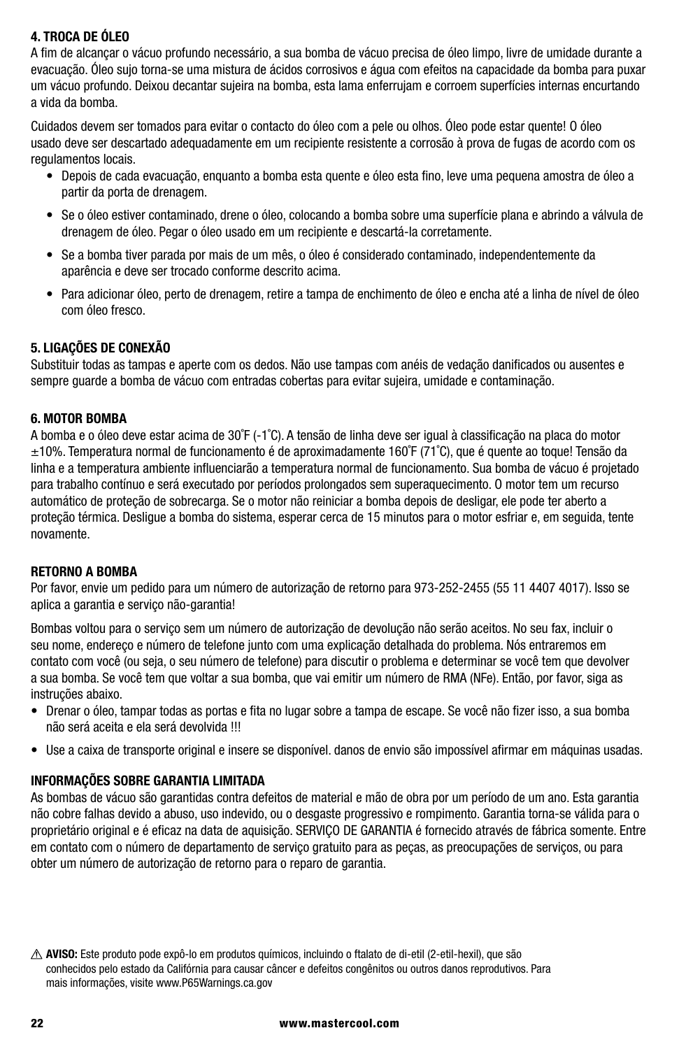#### **4. TROCA DE ÓLEO**

A fim de alcançar o vácuo profundo necessário, a sua bomba de vácuo precisa de óleo limpo, livre de umidade durante a evacuação. Óleo sujo torna-se uma mistura de ácidos corrosivos e água com efeitos na capacidade da bomba para puxar um vácuo profundo. Deixou decantar sujeira na bomba, esta lama enferrujam e corroem superfícies internas encurtando a vida da bomba.

Cuidados devem ser tomados para evitar o contacto do óleo com a pele ou olhos. Óleo pode estar quente! O óleo usado deve ser descartado adequadamente em um recipiente resistente a corrosão à prova de fugas de acordo com os regulamentos locais.

- Depois de cada evacuação, enquanto a bomba esta quente e óleo esta fino, leve uma pequena amostra de óleo a partir da porta de drenagem.
- Se o óleo estiver contaminado, drene o óleo, colocando a bomba sobre uma superfície plana e abrindo a válvula de drenagem de óleo. Pegar o óleo usado em um recipiente e descartá-la corretamente.
- Se a bomba tiver parada por mais de um mês, o óleo é considerado contaminado, independentemente da aparência e deve ser trocado conforme descrito acima.
- Para adicionar óleo, perto de drenagem, retire a tampa de enchimento de óleo e encha até a linha de nível de óleo com óleo fresco.

#### **5. LIGAÇÕES DE CONEXÃO**

Substituir todas as tampas e aperte com os dedos. Não use tampas com anéis de vedação danificados ou ausentes e sempre guarde a bomba de vácuo com entradas cobertas para evitar sujeira, umidade e contaminação.

#### **6. MOTOR BOMBA**

A bomba e o óleo deve estar acima de 30˚F (-1˚C). A tensão de linha deve ser igual à classificação na placa do motor ±10%. Temperatura normal de funcionamento é de aproximadamente 160˚F (71˚C), que é quente ao toque! Tensão da linha e a temperatura ambiente influenciarão a temperatura normal de funcionamento. Sua bomba de vácuo é projetado para trabalho contínuo e será executado por períodos prolongados sem superaquecimento. O motor tem um recurso automático de proteção de sobrecarga. Se o motor não reiniciar a bomba depois de desligar, ele pode ter aberto a proteção térmica. Desligue a bomba do sistema, esperar cerca de 15 minutos para o motor esfriar e, em seguida, tente novamente.

#### **RETORNO A BOMBA**

Por favor, envie um pedido para um número de autorização de retorno para 973-252-2455 (55 11 4407 4017). Isso se aplica a garantia e servico não-garantia!

Bombas voltou para o serviço sem um número de autorização de devolução não serão aceitos. No seu fax, incluir o seu nome, endereço e número de telefone junto com uma explicação detalhada do problema. Nós entraremos em contato com você (ou seja, o seu número de telefone) para discutir o problema e determinar se você tem que devolver a sua bomba. Se você tem que voltar a sua bomba, que vai emitir um número de RMA (NFe). Então, por favor, siga as instruções abaixo.

- Drenar o óleo, tampar todas as portas e fita no lugar sobre a tampa de escape. Se você não fizer isso, a sua bomba não será aceita e ela será devolvida !!!
- Use a caixa de transporte original e insere se disponível. danos de envio são impossível afirmar em máquinas usadas.

#### **INFORMAÇÕES SOBRE GARANTIA LIMITADA**

As bombas de vácuo são garantidas contra defeitos de material e mão de obra por um período de um ano. Esta garantia não cobre falhas devido a abuso, uso indevido, ou o desgaste progressivo e rompimento. Garantia torna-se válida para o proprietário original e é eficaz na data de aquisição. SERVIÇO DE GARANTIA é fornecido através de fábrica somente. Entre em contato com o número de departamento de serviço gratuito para as peças, as preocupações de serviços, ou para obter um número de autorização de retorno para o reparo de garantia.

**AVISO:** Este produto pode expô-lo em produtos químicos, incluindo o ftalato de di-etil (2-etil-hexil), que são conhecidos pelo estado da Califórnia para causar câncer e defeitos congênitos ou outros danos reprodutivos. Para mais informações, visite www.P65Warnings.ca.gov